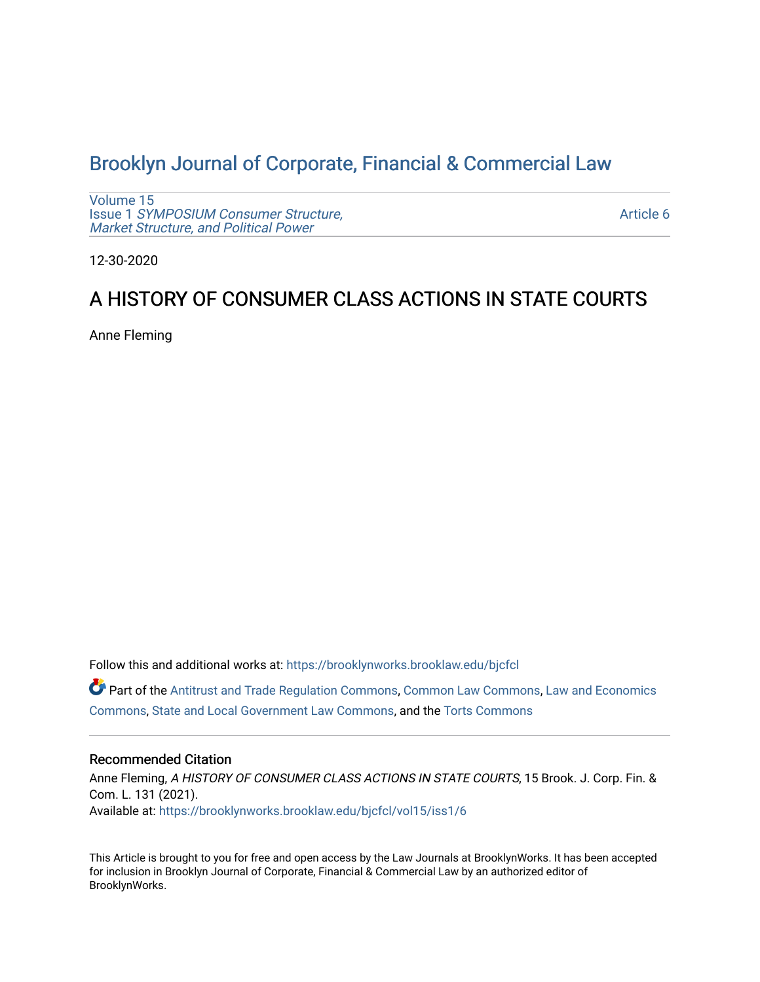# [Brooklyn Journal of Corporate, Financial & Commercial Law](https://brooklynworks.brooklaw.edu/bjcfcl)

[Volume 15](https://brooklynworks.brooklaw.edu/bjcfcl/vol15) Issue 1 [SYMPOSIUM Consumer Structure,](https://brooklynworks.brooklaw.edu/bjcfcl/vol15/iss1) [Market Structure, and Political Power](https://brooklynworks.brooklaw.edu/bjcfcl/vol15/iss1)

[Article 6](https://brooklynworks.brooklaw.edu/bjcfcl/vol15/iss1/6) 

12-30-2020

## A HISTORY OF CONSUMER CLASS ACTIONS IN STATE COURTS

Anne Fleming

Follow this and additional works at: [https://brooklynworks.brooklaw.edu/bjcfcl](https://brooklynworks.brooklaw.edu/bjcfcl?utm_source=brooklynworks.brooklaw.edu%2Fbjcfcl%2Fvol15%2Fiss1%2F6&utm_medium=PDF&utm_campaign=PDFCoverPages)

Part of the [Antitrust and Trade Regulation Commons,](http://network.bepress.com/hgg/discipline/911?utm_source=brooklynworks.brooklaw.edu%2Fbjcfcl%2Fvol15%2Fiss1%2F6&utm_medium=PDF&utm_campaign=PDFCoverPages) [Common Law Commons,](http://network.bepress.com/hgg/discipline/1120?utm_source=brooklynworks.brooklaw.edu%2Fbjcfcl%2Fvol15%2Fiss1%2F6&utm_medium=PDF&utm_campaign=PDFCoverPages) [Law and Economics](http://network.bepress.com/hgg/discipline/612?utm_source=brooklynworks.brooklaw.edu%2Fbjcfcl%2Fvol15%2Fiss1%2F6&utm_medium=PDF&utm_campaign=PDFCoverPages) [Commons](http://network.bepress.com/hgg/discipline/612?utm_source=brooklynworks.brooklaw.edu%2Fbjcfcl%2Fvol15%2Fiss1%2F6&utm_medium=PDF&utm_campaign=PDFCoverPages), [State and Local Government Law Commons,](http://network.bepress.com/hgg/discipline/879?utm_source=brooklynworks.brooklaw.edu%2Fbjcfcl%2Fvol15%2Fiss1%2F6&utm_medium=PDF&utm_campaign=PDFCoverPages) and the [Torts Commons](http://network.bepress.com/hgg/discipline/913?utm_source=brooklynworks.brooklaw.edu%2Fbjcfcl%2Fvol15%2Fiss1%2F6&utm_medium=PDF&utm_campaign=PDFCoverPages) 

### Recommended Citation

Anne Fleming, A HISTORY OF CONSUMER CLASS ACTIONS IN STATE COURTS, 15 Brook. J. Corp. Fin. & Com. L. 131 (2021). Available at: [https://brooklynworks.brooklaw.edu/bjcfcl/vol15/iss1/6](https://brooklynworks.brooklaw.edu/bjcfcl/vol15/iss1/6?utm_source=brooklynworks.brooklaw.edu%2Fbjcfcl%2Fvol15%2Fiss1%2F6&utm_medium=PDF&utm_campaign=PDFCoverPages)

This Article is brought to you for free and open access by the Law Journals at BrooklynWorks. It has been accepted for inclusion in Brooklyn Journal of Corporate, Financial & Commercial Law by an authorized editor of BrooklynWorks.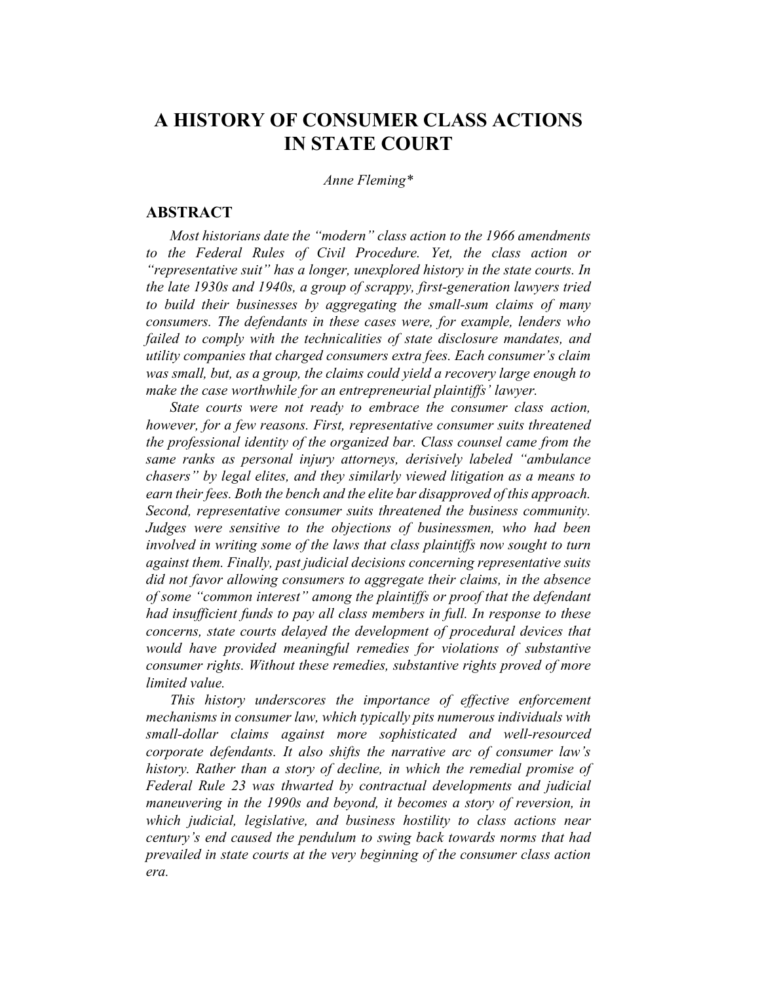Anne Fleming\*

## **ABSTRACT**

Most historians date the "modern" class action to the 1966 amendments to the Federal Rules of Civil Procedure. Yet, the class action or "representative suit" has a longer, unexplored history in the state courts. In the late 1930s and 1940s, a group of scrappy, first-generation lawyers tried to build their businesses by aggregating the small-sum claims of many consumers. The defendants in these cases were, for example, lenders who failed to comply with the technicalities of state disclosure mandates, and utility companies that charged consumers extra fees. Each consumer's claim was small, but, as a group, the claims could yield a recovery large enough to make the case worthwhile for an entrepreneurial plaintiffs' lawyer.

State courts were not ready to embrace the consumer class action, however, for a few reasons. First, representative consumer suits threatened the professional identity of the organized bar. Class counsel came from the same ranks as personal injury attorneys, derisively labeled "ambulance chasers" by legal elites, and they similarly viewed litigation as a means to earn their fees. Both the bench and the elite bar disapproved of this approach. Second, representative consumer suits threatened the business community. Judges were sensitive to the objections of businessmen, who had been involved in writing some of the laws that class plaintiffs now sought to turn against them. Finally, past judicial decisions concerning representative suits did not favor allowing consumers to aggregate their claims, in the absence of some "common interest" among the plaintiffs or proof that the defendant had insufficient funds to pay all class members in full. In response to these concerns, state courts delayed the development of procedural devices that would have provided meaningful remedies for violations of substantive consumer rights. Without these remedies, substantive rights proved of more limited value.

This history underscores the importance of effective enforcement mechanisms in consumer law, which typically pits numerous individuals with small-dollar claims against more sophisticated and well-resourced corporate defendants. It also shifts the narrative arc of consumer law's history. Rather than a story of decline, in which the remedial promise of Federal Rule 23 was thwarted by contractual developments and judicial maneuvering in the 1990s and beyond, it becomes a story of reversion, in which judicial, legislative, and business hostility to class actions near century's end caused the pendulum to swing back towards norms that had prevailed in state courts at the very beginning of the consumer class action era.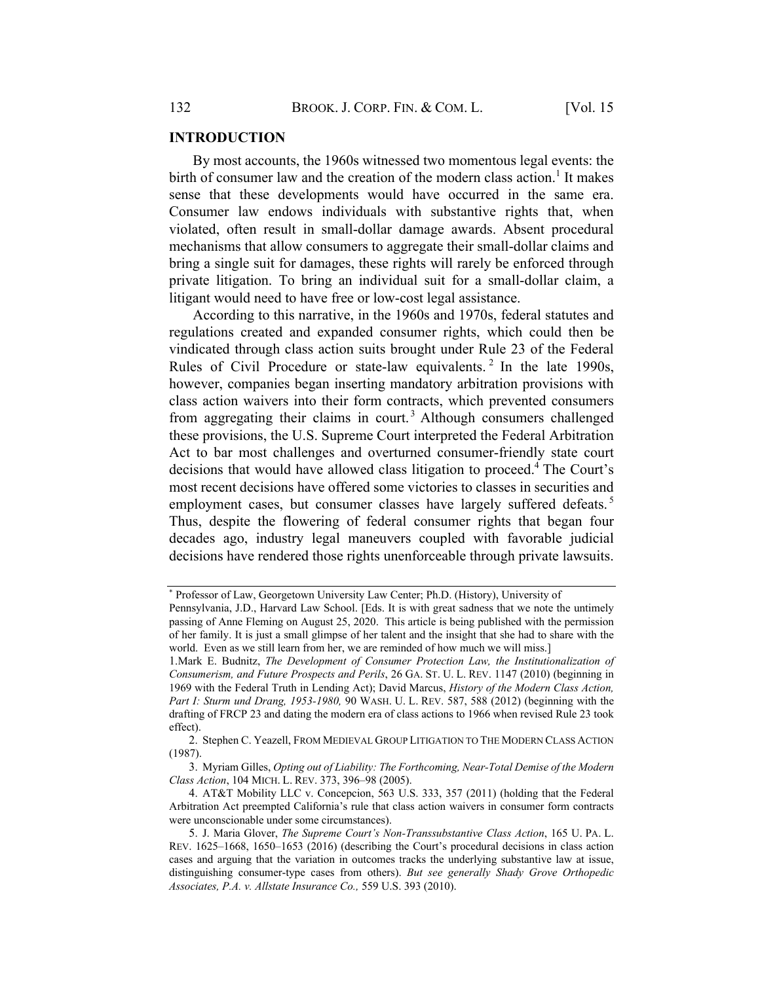#### INTRODUCTION

By most accounts, the 1960s witnessed two momentous legal events: the birth of consumer law and the creation of the modern class action.<sup>1</sup> It makes sense that these developments would have occurred in the same era. Consumer law endows individuals with substantive rights that, when violated, often result in small-dollar damage awards. Absent procedural mechanisms that allow consumers to aggregate their small-dollar claims and bring a single suit for damages, these rights will rarely be enforced through private litigation. To bring an individual suit for a small-dollar claim, a litigant would need to have free or low-cost legal assistance.

According to this narrative, in the 1960s and 1970s, federal statutes and regulations created and expanded consumer rights, which could then be vindicated through class action suits brought under Rule 23 of the Federal Rules of Civil Procedure or state-law equivalents.<sup>2</sup> In the late 1990s, however, companies began inserting mandatory arbitration provisions with class action waivers into their form contracts, which prevented consumers from aggregating their claims in court.<sup>3</sup> Although consumers challenged these provisions, the U.S. Supreme Court interpreted the Federal Arbitration Act to bar most challenges and overturned consumer-friendly state court decisions that would have allowed class litigation to proceed.<sup>4</sup> The Court's most recent decisions have offered some victories to classes in securities and employment cases, but consumer classes have largely suffered defeats.<sup>5</sup> Thus, despite the flowering of federal consumer rights that began four decades ago, industry legal maneuvers coupled with favorable judicial decisions have rendered those rights unenforceable through private lawsuits.

<sup>\*</sup> Professor of Law, Georgetown University Law Center; Ph.D. (History), University of

Pennsylvania, J.D., Harvard Law School. [Eds. It is with great sadness that we note the untimely passing of Anne Fleming on August 25, 2020. This article is being published with the permission of her family. It is just a small glimpse of her talent and the insight that she had to share with the world. Even as we still learn from her, we are reminded of how much we will miss.]

<sup>1.</sup>Mark E. Budnitz, The Development of Consumer Protection Law, the Institutionalization of Consumerism, and Future Prospects and Perils, 26 GA. ST. U. L. REV. 1147 (2010) (beginning in 1969 with the Federal Truth in Lending Act); David Marcus, History of the Modern Class Action, Part I: Sturm und Drang, 1953-1980, 90 WASH. U. L. REV. 587, 588 (2012) (beginning with the drafting of FRCP 23 and dating the modern era of class actions to 1966 when revised Rule 23 took effect).

<sup>2.</sup> Stephen C. Yeazell, FROM MEDIEVAL GROUP LITIGATION TO THE MODERN CLASS ACTION (1987).

<sup>3.</sup> Myriam Gilles, Opting out of Liability: The Forthcoming, Near-Total Demise of the Modern Class Action, 104 MICH. L. REV. 373, 396–98 (2005).

<sup>4.</sup> AT&T Mobility LLC v. Concepcion, 563 U.S. 333, 357 (2011) (holding that the Federal Arbitration Act preempted California's rule that class action waivers in consumer form contracts were unconscionable under some circumstances).

<sup>5.</sup> J. Maria Glover, The Supreme Court's Non-Transsubstantive Class Action, 165 U. PA. L. REV. 1625–1668, 1650–1653 (2016) (describing the Court's procedural decisions in class action cases and arguing that the variation in outcomes tracks the underlying substantive law at issue, distinguishing consumer-type cases from others). But see generally Shady Grove Orthopedic Associates, P.A. v. Allstate Insurance Co., 559 U.S. 393 (2010).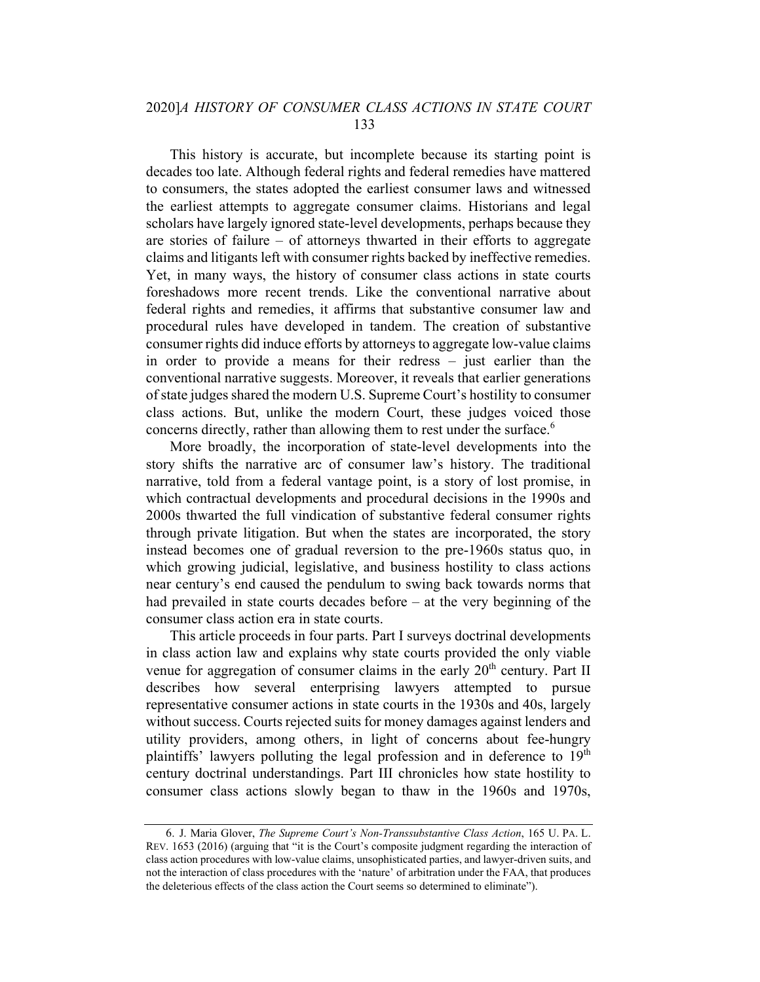This history is accurate, but incomplete because its starting point is decades too late. Although federal rights and federal remedies have mattered to consumers, the states adopted the earliest consumer laws and witnessed the earliest attempts to aggregate consumer claims. Historians and legal scholars have largely ignored state-level developments, perhaps because they are stories of failure – of attorneys thwarted in their efforts to aggregate claims and litigants left with consumer rights backed by ineffective remedies. Yet, in many ways, the history of consumer class actions in state courts foreshadows more recent trends. Like the conventional narrative about federal rights and remedies, it affirms that substantive consumer law and procedural rules have developed in tandem. The creation of substantive consumer rights did induce efforts by attorneysto aggregate low-value claims in order to provide a means for their redress – just earlier than the conventional narrative suggests. Moreover, it reveals that earlier generations of state judges shared the modern U.S. Supreme Court's hostility to consumer class actions. But, unlike the modern Court, these judges voiced those concerns directly, rather than allowing them to rest under the surface.<sup>6</sup>

More broadly, the incorporation of state-level developments into the story shifts the narrative arc of consumer law's history. The traditional narrative, told from a federal vantage point, is a story of lost promise, in which contractual developments and procedural decisions in the 1990s and 2000s thwarted the full vindication of substantive federal consumer rights through private litigation. But when the states are incorporated, the story instead becomes one of gradual reversion to the pre-1960s status quo, in which growing judicial, legislative, and business hostility to class actions near century's end caused the pendulum to swing back towards norms that had prevailed in state courts decades before – at the very beginning of the consumer class action era in state courts.

This article proceeds in four parts. Part I surveys doctrinal developments in class action law and explains why state courts provided the only viable venue for aggregation of consumer claims in the early  $20<sup>th</sup>$  century. Part II describes how several enterprising lawyers attempted to pursue representative consumer actions in state courts in the 1930s and 40s, largely without success. Courts rejected suits for money damages against lenders and utility providers, among others, in light of concerns about fee-hungry plaintiffs' lawyers polluting the legal profession and in deference to  $19<sup>th</sup>$ century doctrinal understandings. Part III chronicles how state hostility to consumer class actions slowly began to thaw in the 1960s and 1970s,

<sup>6.</sup> J. Maria Glover, The Supreme Court's Non-Transsubstantive Class Action, 165 U. PA. L. REV. 1653 (2016) (arguing that "it is the Court's composite judgment regarding the interaction of class action procedures with low-value claims, unsophisticated parties, and lawyer-driven suits, and not the interaction of class procedures with the 'nature' of arbitration under the FAA, that produces the deleterious effects of the class action the Court seems so determined to eliminate").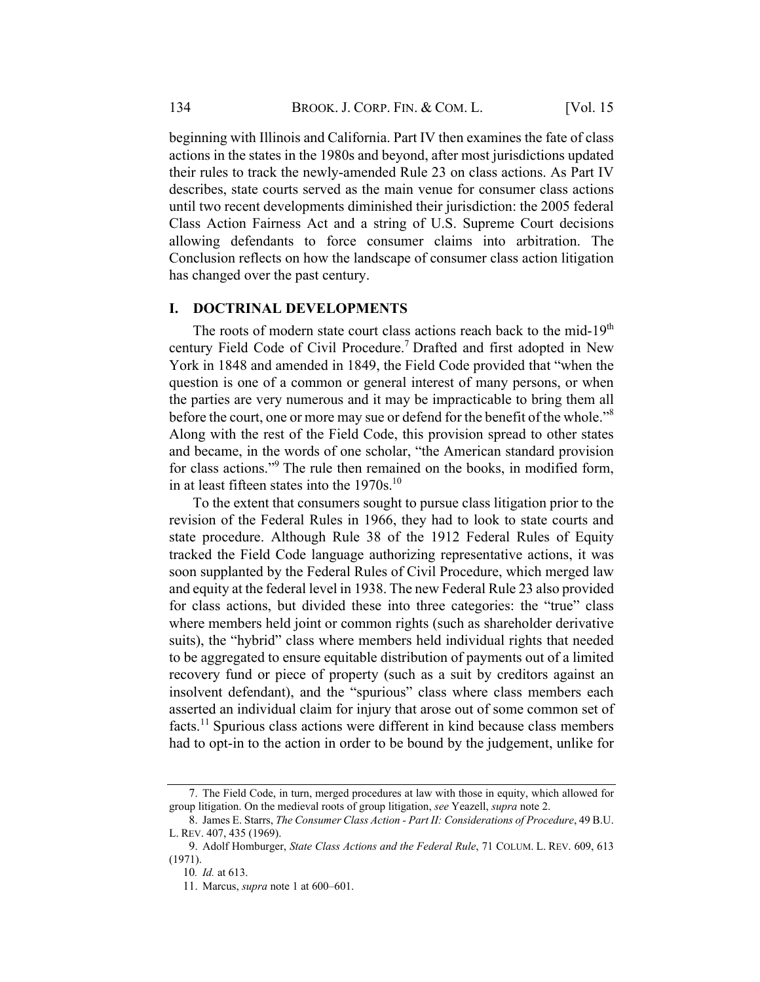beginning with Illinois and California. Part IV then examines the fate of class actions in the states in the 1980s and beyond, after most jurisdictions updated their rules to track the newly-amended Rule 23 on class actions. As Part IV describes, state courts served as the main venue for consumer class actions until two recent developments diminished their jurisdiction: the 2005 federal Class Action Fairness Act and a string of U.S. Supreme Court decisions allowing defendants to force consumer claims into arbitration. The Conclusion reflects on how the landscape of consumer class action litigation has changed over the past century.

#### I. DOCTRINAL DEVELOPMENTS

The roots of modern state court class actions reach back to the mid-19<sup>th</sup> century Field Code of Civil Procedure.<sup>7</sup> Drafted and first adopted in New York in 1848 and amended in 1849, the Field Code provided that "when the question is one of a common or general interest of many persons, or when the parties are very numerous and it may be impracticable to bring them all before the court, one or more may sue or defend for the benefit of the whole."<sup>8</sup> Along with the rest of the Field Code, this provision spread to other states and became, in the words of one scholar, "the American standard provision for class actions."9 The rule then remained on the books, in modified form, in at least fifteen states into the  $1970s$ .<sup>10</sup>

To the extent that consumers sought to pursue class litigation prior to the revision of the Federal Rules in 1966, they had to look to state courts and state procedure. Although Rule 38 of the 1912 Federal Rules of Equity tracked the Field Code language authorizing representative actions, it was soon supplanted by the Federal Rules of Civil Procedure, which merged law and equity at the federal level in 1938. The new Federal Rule 23 also provided for class actions, but divided these into three categories: the "true" class where members held joint or common rights (such as shareholder derivative suits), the "hybrid" class where members held individual rights that needed to be aggregated to ensure equitable distribution of payments out of a limited recovery fund or piece of property (such as a suit by creditors against an insolvent defendant), and the "spurious" class where class members each asserted an individual claim for injury that arose out of some common set of facts.<sup>11</sup> Spurious class actions were different in kind because class members had to opt-in to the action in order to be bound by the judgement, unlike for

<sup>7.</sup> The Field Code, in turn, merged procedures at law with those in equity, which allowed for group litigation. On the medieval roots of group litigation, see Yeazell, supra note 2.

<sup>8.</sup> James E. Starrs, The Consumer Class Action - Part II: Considerations of Procedure, 49 B.U. L. REV. 407, 435 (1969).

<sup>9.</sup> Adolf Homburger, State Class Actions and the Federal Rule, 71 COLUM. L. REV. 609, 613 (1971).

<sup>10</sup>. Id. at 613.

<sup>11.</sup> Marcus, supra note 1 at 600–601.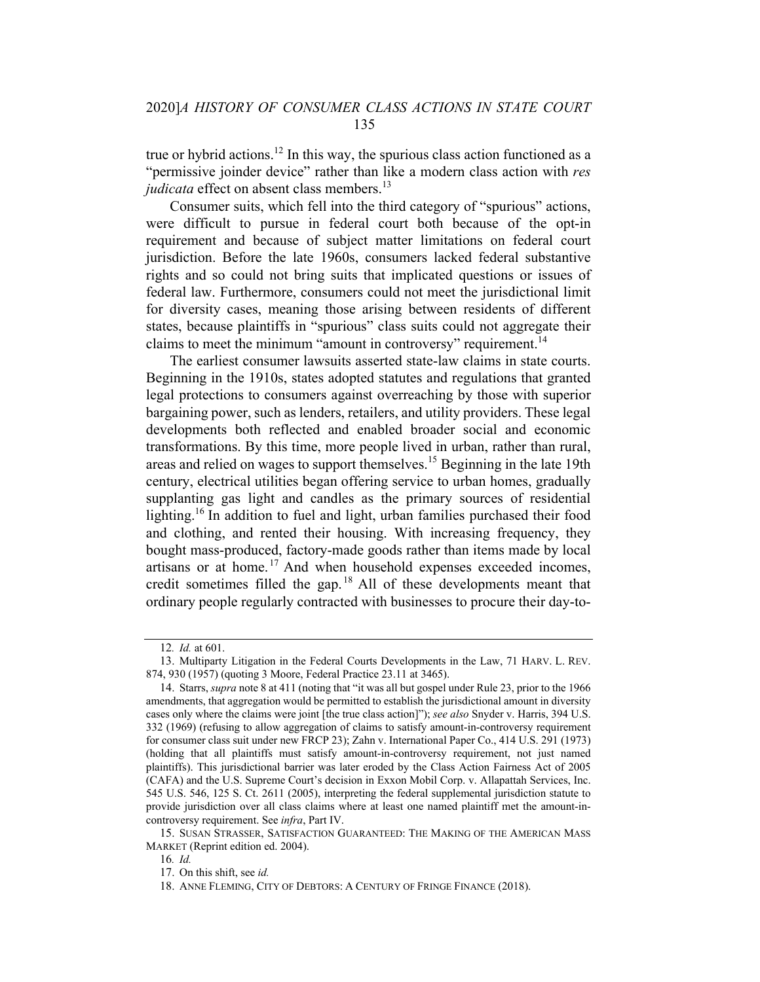true or hybrid actions.<sup>12</sup> In this way, the spurious class action functioned as a "permissive joinder device" rather than like a modern class action with res judicata effect on absent class members. $^{13}$ 

Consumer suits, which fell into the third category of "spurious" actions, were difficult to pursue in federal court both because of the opt-in requirement and because of subject matter limitations on federal court jurisdiction. Before the late 1960s, consumers lacked federal substantive rights and so could not bring suits that implicated questions or issues of federal law. Furthermore, consumers could not meet the jurisdictional limit for diversity cases, meaning those arising between residents of different states, because plaintiffs in "spurious" class suits could not aggregate their claims to meet the minimum "amount in controversy" requirement.<sup>14</sup>

The earliest consumer lawsuits asserted state-law claims in state courts. Beginning in the 1910s, states adopted statutes and regulations that granted legal protections to consumers against overreaching by those with superior bargaining power, such as lenders, retailers, and utility providers. These legal developments both reflected and enabled broader social and economic transformations. By this time, more people lived in urban, rather than rural, areas and relied on wages to support themselves.<sup>15</sup> Beginning in the late 19th century, electrical utilities began offering service to urban homes, gradually supplanting gas light and candles as the primary sources of residential lighting.<sup>16</sup> In addition to fuel and light, urban families purchased their food and clothing, and rented their housing. With increasing frequency, they bought mass-produced, factory-made goods rather than items made by local artisans or at home.<sup>17</sup> And when household expenses exceeded incomes, credit sometimes filled the gap.<sup>18</sup> All of these developments meant that ordinary people regularly contracted with businesses to procure their day-to-

<sup>12</sup>. Id. at 601.

<sup>13.</sup> Multiparty Litigation in the Federal Courts Developments in the Law, 71 HARV. L. REV. 874, 930 (1957) (quoting 3 Moore, Federal Practice 23.11 at 3465).

<sup>14.</sup> Starrs, supra note 8 at 411 (noting that "it was all but gospel under Rule 23, prior to the 1966 amendments, that aggregation would be permitted to establish the jurisdictional amount in diversity cases only where the claims were joint [the true class action]"); see also Snyder v. Harris, 394 U.S. 332 (1969) (refusing to allow aggregation of claims to satisfy amount-in-controversy requirement for consumer class suit under new FRCP 23); Zahn v. International Paper Co., 414 U.S. 291 (1973) (holding that all plaintiffs must satisfy amount-in-controversy requirement, not just named plaintiffs). This jurisdictional barrier was later eroded by the Class Action Fairness Act of 2005 (CAFA) and the U.S. Supreme Court's decision in Exxon Mobil Corp. v. Allapattah Services, Inc. 545 U.S. 546, 125 S. Ct. 2611 (2005), interpreting the federal supplemental jurisdiction statute to provide jurisdiction over all class claims where at least one named plaintiff met the amount-incontroversy requirement. See infra, Part IV.

<sup>15.</sup> SUSAN STRASSER, SATISFACTION GUARANTEED: THE MAKING OF THE AMERICAN MASS MARKET (Reprint edition ed. 2004).

<sup>16</sup>. Id.

<sup>17.</sup> On this shift, see id.

<sup>18.</sup> ANNE FLEMING, CITY OF DEBTORS: A CENTURY OF FRINGE FINANCE (2018).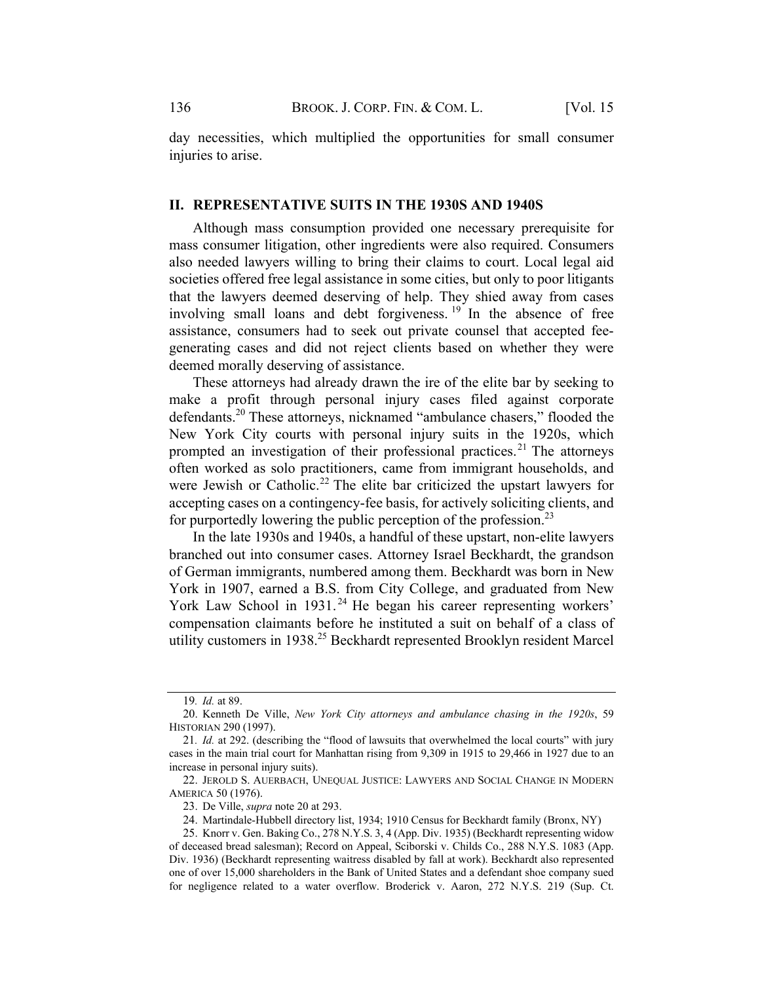day necessities, which multiplied the opportunities for small consumer injuries to arise.

#### II. REPRESENTATIVE SUITS IN THE 1930S AND 1940S

Although mass consumption provided one necessary prerequisite for mass consumer litigation, other ingredients were also required. Consumers also needed lawyers willing to bring their claims to court. Local legal aid societies offered free legal assistance in some cities, but only to poor litigants that the lawyers deemed deserving of help. They shied away from cases involving small loans and debt forgiveness.  $19$  In the absence of free assistance, consumers had to seek out private counsel that accepted feegenerating cases and did not reject clients based on whether they were deemed morally deserving of assistance.

These attorneys had already drawn the ire of the elite bar by seeking to make a profit through personal injury cases filed against corporate defendants.<sup>20</sup> These attorneys, nicknamed "ambulance chasers," flooded the New York City courts with personal injury suits in the 1920s, which prompted an investigation of their professional practices.<sup>21</sup> The attorneys often worked as solo practitioners, came from immigrant households, and were Jewish or Catholic.<sup>22</sup> The elite bar criticized the upstart lawyers for accepting cases on a contingency-fee basis, for actively soliciting clients, and for purportedly lowering the public perception of the profession.<sup>23</sup>

In the late 1930s and 1940s, a handful of these upstart, non-elite lawyers branched out into consumer cases. Attorney Israel Beckhardt, the grandson of German immigrants, numbered among them. Beckhardt was born in New York in 1907, earned a B.S. from City College, and graduated from New York Law School in 1931.<sup>24</sup> He began his career representing workers' compensation claimants before he instituted a suit on behalf of a class of utility customers in 1938.<sup>25</sup> Beckhardt represented Brooklyn resident Marcel

<sup>19</sup>. Id. at 89.

<sup>20.</sup> Kenneth De Ville, New York City attorneys and ambulance chasing in the 1920s, 59 HISTORIAN 290 (1997).

<sup>21.</sup> *Id.* at 292. (describing the "flood of lawsuits that overwhelmed the local courts" with jury cases in the main trial court for Manhattan rising from 9,309 in 1915 to 29,466 in 1927 due to an increase in personal injury suits).

<sup>22.</sup> JEROLD S. AUERBACH, UNEQUAL JUSTICE: LAWYERS AND SOCIAL CHANGE IN MODERN AMERICA 50 (1976).

<sup>23.</sup> De Ville, supra note 20 at 293.

<sup>24.</sup> Martindale-Hubbell directory list, 1934; 1910 Census for Beckhardt family (Bronx, NY)

<sup>25.</sup> Knorr v. Gen. Baking Co., 278 N.Y.S. 3, 4 (App. Div. 1935) (Beckhardt representing widow of deceased bread salesman); Record on Appeal, Sciborski v. Childs Co., 288 N.Y.S. 1083 (App. Div. 1936) (Beckhardt representing waitress disabled by fall at work). Beckhardt also represented one of over 15,000 shareholders in the Bank of United States and a defendant shoe company sued for negligence related to a water overflow. Broderick v. Aaron, 272 N.Y.S. 219 (Sup. Ct.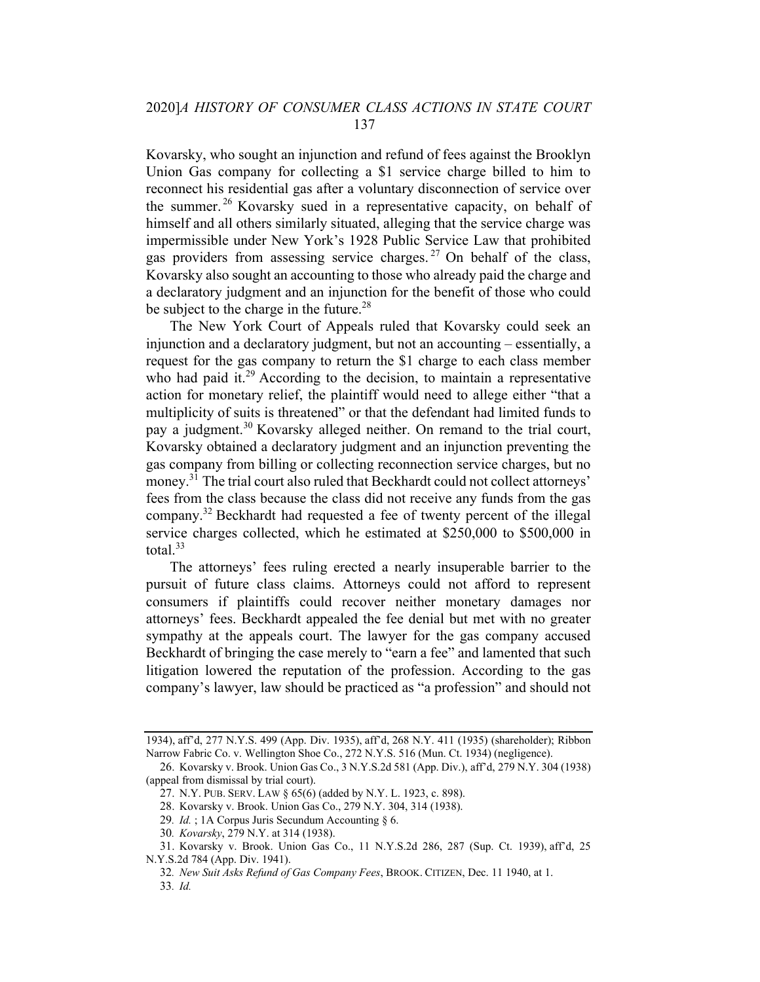Kovarsky, who sought an injunction and refund of fees against the Brooklyn Union Gas company for collecting a \$1 service charge billed to him to reconnect his residential gas after a voluntary disconnection of service over the summer. <sup>26</sup> Kovarsky sued in a representative capacity, on behalf of himself and all others similarly situated, alleging that the service charge was impermissible under New York's 1928 Public Service Law that prohibited gas providers from assessing service charges.<sup>27</sup> On behalf of the class, Kovarsky also sought an accounting to those who already paid the charge and a declaratory judgment and an injunction for the benefit of those who could be subject to the charge in the future.<sup>28</sup>

The New York Court of Appeals ruled that Kovarsky could seek an injunction and a declaratory judgment, but not an accounting – essentially, a request for the gas company to return the \$1 charge to each class member who had paid it.<sup>29</sup> According to the decision, to maintain a representative action for monetary relief, the plaintiff would need to allege either "that a multiplicity of suits is threatened" or that the defendant had limited funds to pay a judgment.<sup>30</sup> Kovarsky alleged neither. On remand to the trial court, Kovarsky obtained a declaratory judgment and an injunction preventing the gas company from billing or collecting reconnection service charges, but no money.<sup>31</sup> The trial court also ruled that Beckhardt could not collect attorneys' fees from the class because the class did not receive any funds from the gas company.<sup>32</sup> Beckhardt had requested a fee of twenty percent of the illegal service charges collected, which he estimated at \$250,000 to \$500,000 in total. $33$ 

The attorneys' fees ruling erected a nearly insuperable barrier to the pursuit of future class claims. Attorneys could not afford to represent consumers if plaintiffs could recover neither monetary damages nor attorneys' fees. Beckhardt appealed the fee denial but met with no greater sympathy at the appeals court. The lawyer for the gas company accused Beckhardt of bringing the case merely to "earn a fee" and lamented that such litigation lowered the reputation of the profession. According to the gas company's lawyer, law should be practiced as "a profession" and should not

<sup>1934),</sup> aff'd, 277 N.Y.S. 499 (App. Div. 1935), aff'd, 268 N.Y. 411 (1935) (shareholder); Ribbon Narrow Fabric Co. v. Wellington Shoe Co., 272 N.Y.S. 516 (Mun. Ct. 1934) (negligence).

<sup>26.</sup> Kovarsky v. Brook. Union Gas Co., 3 N.Y.S.2d 581 (App. Div.), aff'd, 279 N.Y. 304 (1938) (appeal from dismissal by trial court).

<sup>27.</sup> N.Y. PUB. SERV. LAW § 65(6) (added by N.Y. L. 1923, c. 898).

<sup>28.</sup> Kovarsky v. Brook. Union Gas Co., 279 N.Y. 304, 314 (1938).

<sup>29.</sup> Id. ; 1A Corpus Juris Secundum Accounting  $\S 6$ .

<sup>30</sup>. Kovarsky, 279 N.Y. at 314 (1938).

<sup>31.</sup> Kovarsky v. Brook. Union Gas Co., 11 N.Y.S.2d 286, 287 (Sup. Ct. 1939), aff'd, 25 N.Y.S.2d 784 (App. Div. 1941).

<sup>32</sup>. New Suit Asks Refund of Gas Company Fees, BROOK. CITIZEN, Dec. 11 1940, at 1.

<sup>33</sup>. Id.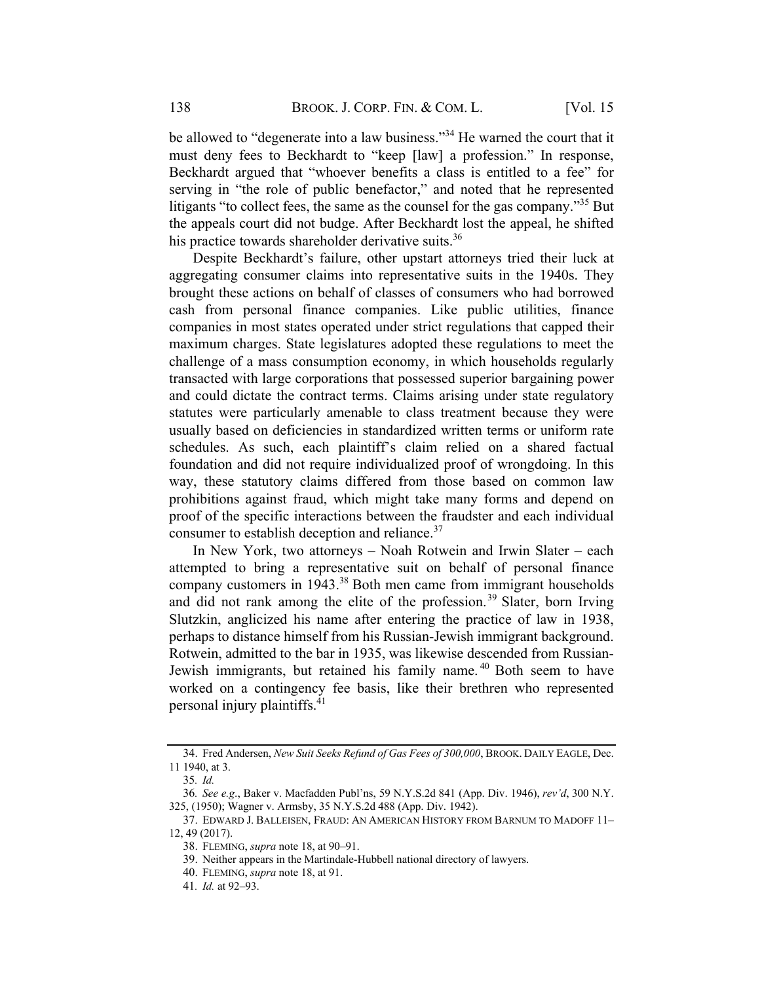be allowed to "degenerate into a law business."<sup>34</sup> He warned the court that it must deny fees to Beckhardt to "keep [law] a profession." In response, Beckhardt argued that "whoever benefits a class is entitled to a fee" for serving in "the role of public benefactor," and noted that he represented litigants "to collect fees, the same as the counsel for the gas company."<sup>35</sup> But the appeals court did not budge. After Beckhardt lost the appeal, he shifted his practice towards shareholder derivative suits.<sup>36</sup>

Despite Beckhardt's failure, other upstart attorneys tried their luck at aggregating consumer claims into representative suits in the 1940s. They brought these actions on behalf of classes of consumers who had borrowed cash from personal finance companies. Like public utilities, finance companies in most states operated under strict regulations that capped their maximum charges. State legislatures adopted these regulations to meet the challenge of a mass consumption economy, in which households regularly transacted with large corporations that possessed superior bargaining power and could dictate the contract terms. Claims arising under state regulatory statutes were particularly amenable to class treatment because they were usually based on deficiencies in standardized written terms or uniform rate schedules. As such, each plaintiff's claim relied on a shared factual foundation and did not require individualized proof of wrongdoing. In this way, these statutory claims differed from those based on common law prohibitions against fraud, which might take many forms and depend on proof of the specific interactions between the fraudster and each individual consumer to establish deception and reliance. $37$ 

In New York, two attorneys – Noah Rotwein and Irwin Slater – each attempted to bring a representative suit on behalf of personal finance company customers in  $1943<sup>38</sup>$  Both men came from immigrant households and did not rank among the elite of the profession.<sup>39</sup> Slater, born Irving Slutzkin, anglicized his name after entering the practice of law in 1938, perhaps to distance himself from his Russian-Jewish immigrant background. Rotwein, admitted to the bar in 1935, was likewise descended from Russian-Jewish immigrants, but retained his family name.<sup>40</sup> Both seem to have worked on a contingency fee basis, like their brethren who represented personal injury plaintiffs.<sup>41</sup>

<sup>34.</sup> Fred Andersen, New Suit Seeks Refund of Gas Fees of 300,000, BROOK. DAILY EAGLE, Dec. 11 1940, at 3.

<sup>35</sup>. Id.

<sup>36</sup>. See e.g., Baker v. Macfadden Publ'ns, 59 N.Y.S.2d 841 (App. Div. 1946), rev'd, 300 N.Y. 325, (1950); Wagner v. Armsby, 35 N.Y.S.2d 488 (App. Div. 1942).

<sup>37.</sup> EDWARD J. BALLEISEN, FRAUD: AN AMERICAN HISTORY FROM BARNUM TO MADOFF 11– 12, 49 (2017).

<sup>38.</sup> FLEMING, supra note 18, at 90–91.

<sup>39.</sup> Neither appears in the Martindale-Hubbell national directory of lawyers.

<sup>40.</sup> FLEMING, *supra* note 18, at 91.

<sup>41</sup>. Id. at 92–93.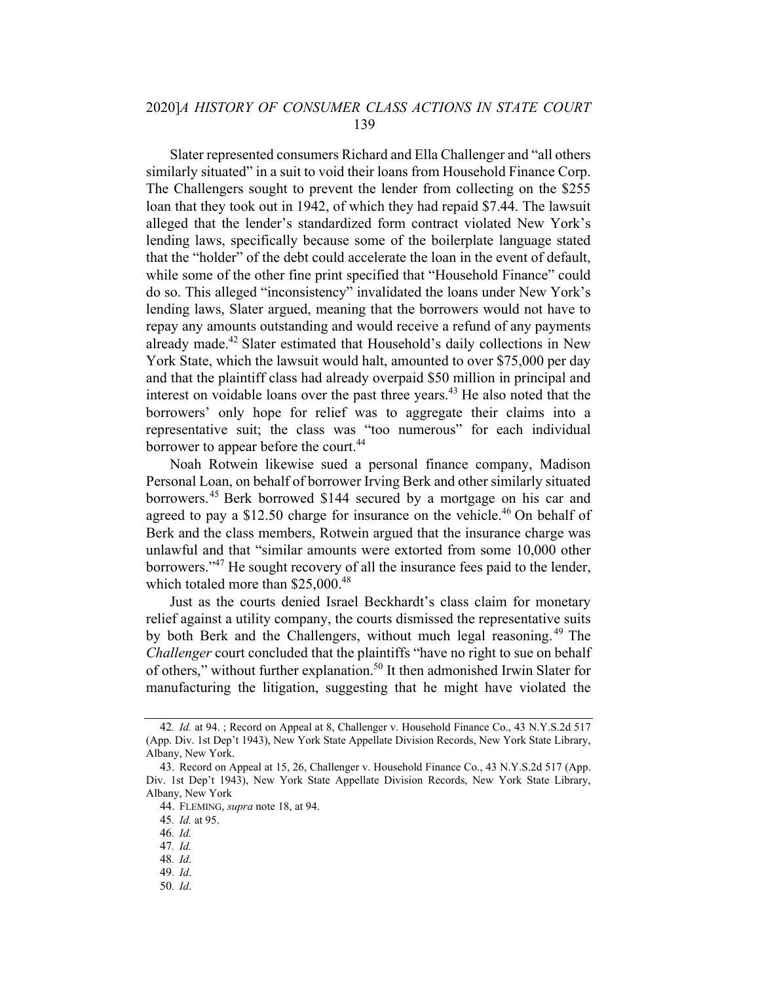Slater represented consumers Richard and Ella Challenger and "all others similarly situated" in a suit to void their loans from Household Finance Corp. The Challengers sought to prevent the lender from collecting on the \$255 loan that they took out in 1942, of which they had repaid \$7.44. The lawsuit alleged that the lender's standardized form contract violated New York's lending laws, specifically because some of the boilerplate language stated that the "holder" of the debt could accelerate the loan in the event of default, while some of the other fine print specified that "Household Finance" could do so. This alleged "inconsistency" invalidated the loans under New York's lending laws, Slater argued, meaning that the borrowers would not have to repay any amounts outstanding and would receive a refund of any payments already made.<sup>42</sup> Slater estimated that Household's daily collections in New York State, which the lawsuit would halt, amounted to over \$75,000 per day and that the plaintiff class had already overpaid \$50 million in principal and interest on voidable loans over the past three years. <sup>43</sup> He also noted that the borrowers' only hope for relief was to aggregate their claims into a representative suit; the class was "too numerous" for each individual borrower to appear before the court.<sup>44</sup>

Noah Rotwein likewise sued a personal finance company, Madison Personal Loan, on behalf of borrower Irving Berk and other similarly situated borrowers.<sup>45</sup> Berk borrowed \$144 secured by a mortgage on his car and agreed to pay a \$12.50 charge for insurance on the vehicle.<sup>46</sup> On behalf of Berk and the class members, Rotwein argued that the insurance charge was unlawful and that "similar amounts were extorted from some 10,000 other borrowers."47 He sought recovery of all the insurance fees paid to the lender, which totaled more than  $$25,000.<sup>48</sup>$ 

Just as the courts denied Israel Beckhardt's class claim for monetary relief against a utility company, the courts dismissed the representative suits by both Berk and the Challengers, without much legal reasoning. <sup>49</sup> The Challenger court concluded that the plaintiffs "have no right to sue on behalf of others," without further explanation.<sup>50</sup> It then admonished Irwin Slater for manufacturing the litigation, suggesting that he might have violated the

50. Id.

<sup>42</sup>. Id. at 94. ; Record on Appeal at 8, Challenger v. Household Finance Co., 43 N.Y.S.2d 517 (App. Div. 1st Dep't 1943), New York State Appellate Division Records, New York State Library, Albany, New York.

<sup>43.</sup> Record on Appeal at 15, 26, Challenger v. Household Finance Co., 43 N.Y.S.2d 517 (App. Div. 1st Dep't 1943), New York State Appellate Division Records, New York State Library, Albany, New York

<sup>44.</sup> FLEMING, supra note 18, at 94.

<sup>45</sup>. Id. at 95.

<sup>46</sup>. Id.

<sup>47</sup>. Id.

<sup>48</sup>. Id.

<sup>49</sup>. Id.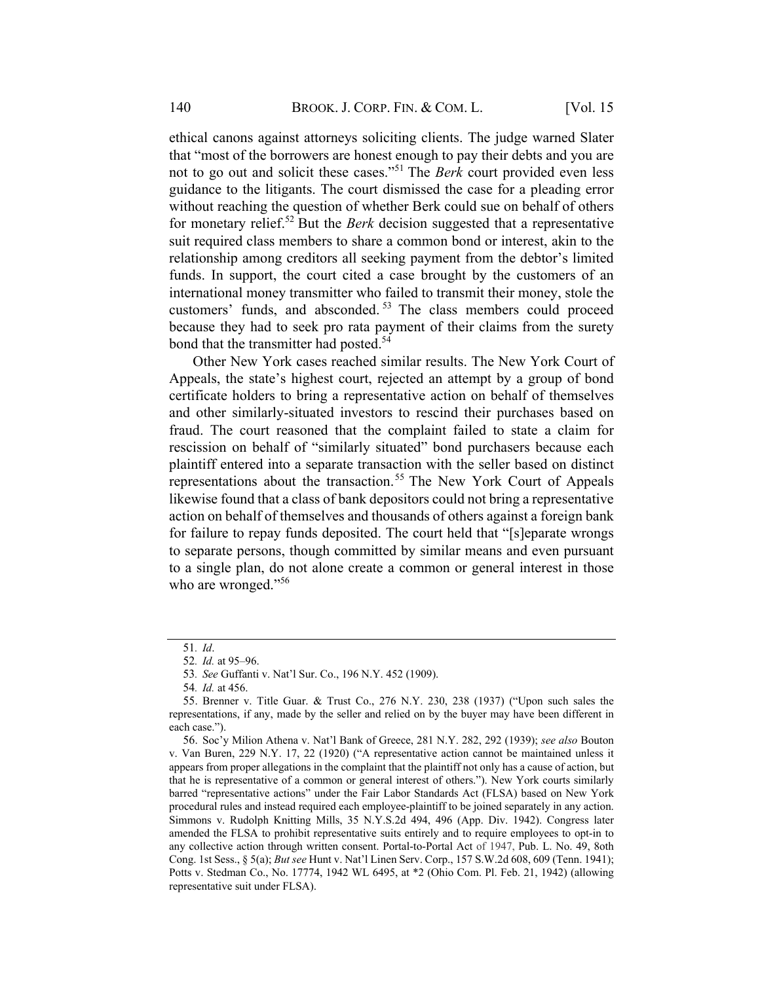ethical canons against attorneys soliciting clients. The judge warned Slater that "most of the borrowers are honest enough to pay their debts and you are not to go out and solicit these cases."<sup>51</sup> The *Berk* court provided even less guidance to the litigants. The court dismissed the case for a pleading error without reaching the question of whether Berk could sue on behalf of others for monetary relief.<sup>52</sup> But the *Berk* decision suggested that a representative suit required class members to share a common bond or interest, akin to the relationship among creditors all seeking payment from the debtor's limited funds. In support, the court cited a case brought by the customers of an international money transmitter who failed to transmit their money, stole the customers' funds, and absconded.<sup>53</sup> The class members could proceed because they had to seek pro rata payment of their claims from the surety bond that the transmitter had posted.<sup>54</sup>

Other New York cases reached similar results. The New York Court of Appeals, the state's highest court, rejected an attempt by a group of bond certificate holders to bring a representative action on behalf of themselves and other similarly-situated investors to rescind their purchases based on fraud. The court reasoned that the complaint failed to state a claim for rescission on behalf of "similarly situated" bond purchasers because each plaintiff entered into a separate transaction with the seller based on distinct representations about the transaction.<sup>55</sup> The New York Court of Appeals likewise found that a class of bank depositors could not bring a representative action on behalf of themselves and thousands of others against a foreign bank for failure to repay funds deposited. The court held that "[s]eparate wrongs to separate persons, though committed by similar means and even pursuant to a single plan, do not alone create a common or general interest in those who are wronged."<sup>56</sup>

<sup>51</sup>. Id.

<sup>52</sup>. Id. at 95–96.

<sup>53</sup>. See Guffanti v. Nat'l Sur. Co., 196 N.Y. 452 (1909).

<sup>54</sup>. Id. at 456.

<sup>55.</sup> Brenner v. Title Guar. & Trust Co., 276 N.Y. 230, 238 (1937) ("Upon such sales the representations, if any, made by the seller and relied on by the buyer may have been different in each case.").

<sup>56.</sup> Soc'y Milion Athena v. Nat'l Bank of Greece, 281 N.Y. 282, 292 (1939); see also Bouton v. Van Buren, 229 N.Y. 17, 22 (1920) ("A representative action cannot be maintained unless it appears from proper allegations in the complaint that the plaintiff not only has a cause of action, but that he is representative of a common or general interest of others."). New York courts similarly barred "representative actions" under the Fair Labor Standards Act (FLSA) based on New York procedural rules and instead required each employee-plaintiff to be joined separately in any action. Simmons v. Rudolph Knitting Mills, 35 N.Y.S.2d 494, 496 (App. Div. 1942). Congress later amended the FLSA to prohibit representative suits entirely and to require employees to opt-in to any collective action through written consent. Portal-to-Portal Act of 1947, Pub. L. No. 49, 8oth Cong. 1st Sess., § 5(a); But see Hunt v. Nat'l Linen Serv. Corp., 157 S.W.2d 608, 609 (Tenn. 1941); Potts v. Stedman Co., No. 17774, 1942 WL 6495, at \*2 (Ohio Com. Pl. Feb. 21, 1942) (allowing representative suit under FLSA).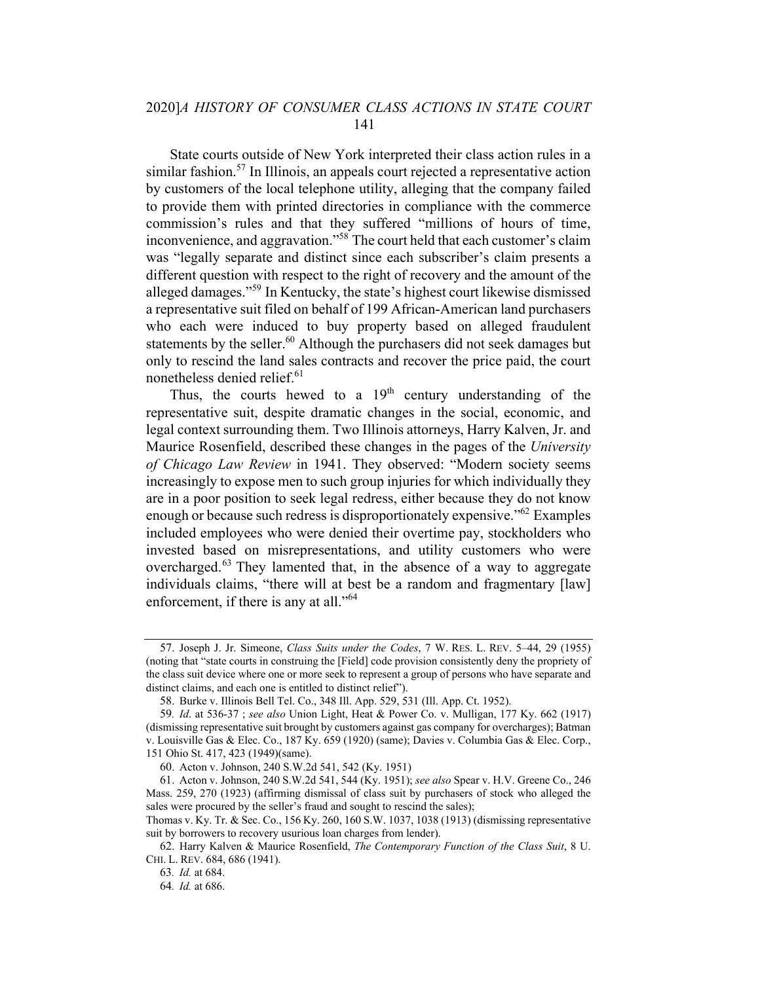State courts outside of New York interpreted their class action rules in a similar fashion.<sup>57</sup> In Illinois, an appeals court rejected a representative action by customers of the local telephone utility, alleging that the company failed to provide them with printed directories in compliance with the commerce commission's rules and that they suffered "millions of hours of time, inconvenience, and aggravation."58 The court held that each customer's claim was "legally separate and distinct since each subscriber's claim presents a different question with respect to the right of recovery and the amount of the alleged damages."<sup>59</sup> In Kentucky, the state's highest court likewise dismissed a representative suit filed on behalf of 199 African-American land purchasers who each were induced to buy property based on alleged fraudulent statements by the seller.<sup>60</sup> Although the purchasers did not seek damages but only to rescind the land sales contracts and recover the price paid, the court nonetheless denied relief. 61

Thus, the courts hewed to a  $19<sup>th</sup>$  century understanding of the representative suit, despite dramatic changes in the social, economic, and legal context surrounding them. Two Illinois attorneys, Harry Kalven, Jr. and Maurice Rosenfield, described these changes in the pages of the University of Chicago Law Review in 1941. They observed: "Modern society seems increasingly to expose men to such group injuries for which individually they are in a poor position to seek legal redress, either because they do not know enough or because such redress is disproportionately expensive."<sup>62</sup> Examples included employees who were denied their overtime pay, stockholders who invested based on misrepresentations, and utility customers who were overcharged.<sup>63</sup> They lamented that, in the absence of a way to aggregate individuals claims, "there will at best be a random and fragmentary [law] enforcement, if there is any at all."<sup>64</sup>

<sup>57.</sup> Joseph J. Jr. Simeone, Class Suits under the Codes, 7 W. RES. L. REV. 5–44, 29 (1955) (noting that "state courts in construing the [Field] code provision consistently deny the propriety of the class suit device where one or more seek to represent a group of persons who have separate and distinct claims, and each one is entitled to distinct relief").

<sup>58.</sup> Burke v. Illinois Bell Tel. Co., 348 Ill. App. 529, 531 (Ill. App. Ct. 1952).

<sup>59</sup>. Id. at 536-37 ; see also Union Light, Heat & Power Co. v. Mulligan, 177 Ky. 662 (1917) (dismissing representative suit brought by customers against gas company for overcharges); Batman v. Louisville Gas & Elec. Co., 187 Ky. 659 (1920) (same); Davies v. Columbia Gas & Elec. Corp., 151 Ohio St. 417, 423 (1949)(same).

<sup>60.</sup> Acton v. Johnson, 240 S.W.2d 541, 542 (Ky. 1951)

<sup>61.</sup> Acton v. Johnson, 240 S.W.2d 541, 544 (Ky. 1951); see also Spear v. H.V. Greene Co., 246 Mass. 259, 270 (1923) (affirming dismissal of class suit by purchasers of stock who alleged the sales were procured by the seller's fraud and sought to rescind the sales);

Thomas v. Ky. Tr. & Sec. Co., 156 Ky. 260, 160 S.W. 1037, 1038 (1913) (dismissing representative suit by borrowers to recovery usurious loan charges from lender).

<sup>62.</sup> Harry Kalven & Maurice Rosenfield, The Contemporary Function of the Class Suit, 8 U. CHI. L. REV. 684, 686 (1941).

<sup>63</sup>. Id. at 684.

<sup>64</sup>. Id. at 686.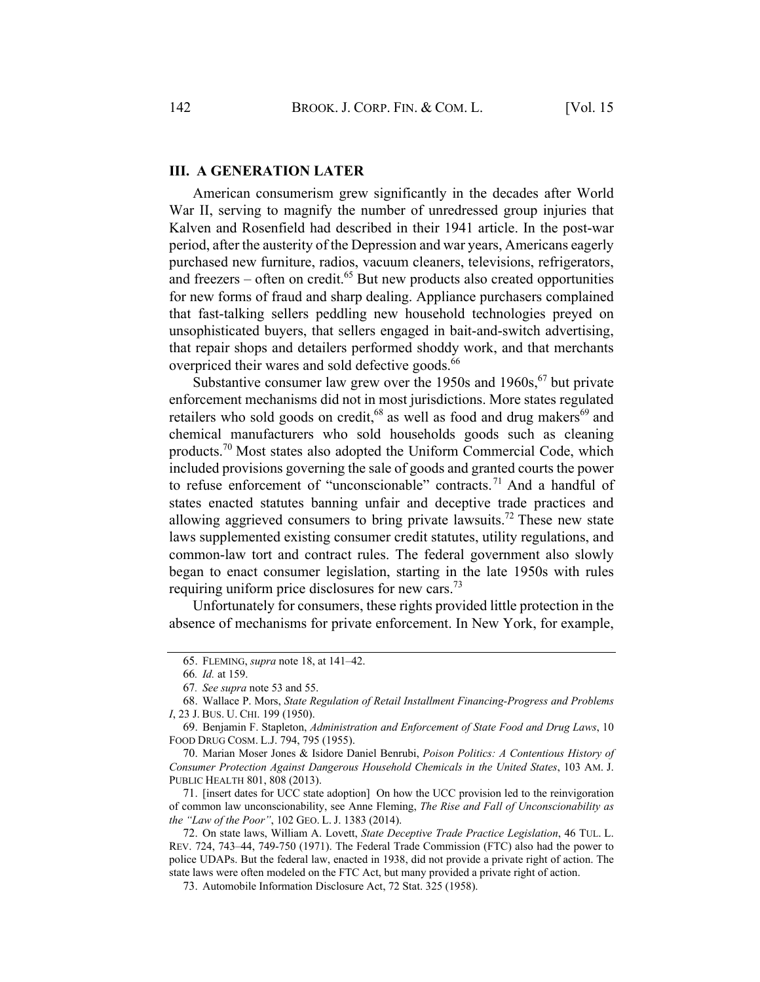#### III. A GENERATION LATER

American consumerism grew significantly in the decades after World War II, serving to magnify the number of unredressed group injuries that Kalven and Rosenfield had described in their 1941 article. In the post-war period, after the austerity of the Depression and war years, Americans eagerly purchased new furniture, radios, vacuum cleaners, televisions, refrigerators, and freezers – often on credit. $65$  But new products also created opportunities for new forms of fraud and sharp dealing. Appliance purchasers complained that fast-talking sellers peddling new household technologies preyed on unsophisticated buyers, that sellers engaged in bait-and-switch advertising, that repair shops and detailers performed shoddy work, and that merchants overpriced their wares and sold defective goods.<sup>66</sup>

Substantive consumer law grew over the 1950s and  $1960s$ , <sup>67</sup> but private enforcement mechanisms did not in most jurisdictions. More states regulated retailers who sold goods on credit,  $68$  as well as food and drug makers  $69$  and chemical manufacturers who sold households goods such as cleaning products.<sup>70</sup> Most states also adopted the Uniform Commercial Code, which included provisions governing the sale of goods and granted courts the power to refuse enforcement of "unconscionable" contracts.<sup>71</sup> And a handful of states enacted statutes banning unfair and deceptive trade practices and allowing aggrieved consumers to bring private lawsuits.<sup>72</sup> These new state laws supplemented existing consumer credit statutes, utility regulations, and common-law tort and contract rules. The federal government also slowly began to enact consumer legislation, starting in the late 1950s with rules requiring uniform price disclosures for new cars.<sup>73</sup>

Unfortunately for consumers, these rights provided little protection in the absence of mechanisms for private enforcement. In New York, for example,

<sup>65.</sup> FLEMING, supra note 18, at 141–42.

<sup>66</sup>. Id. at 159.

<sup>67</sup>. See supra note 53 and 55.

<sup>68.</sup> Wallace P. Mors, State Regulation of Retail Installment Financing-Progress and Problems I, 23 J. BUS. U. CHI. 199 (1950).

<sup>69.</sup> Benjamin F. Stapleton, Administration and Enforcement of State Food and Drug Laws, 10 FOOD DRUG COSM. L.J. 794, 795 (1955).

<sup>70.</sup> Marian Moser Jones & Isidore Daniel Benrubi, Poison Politics: A Contentious History of Consumer Protection Against Dangerous Household Chemicals in the United States, 103 AM. J. PUBLIC HEALTH 801, 808 (2013).

<sup>71.</sup> [insert dates for UCC state adoption] On how the UCC provision led to the reinvigoration of common law unconscionability, see Anne Fleming, The Rise and Fall of Unconscionability as the "Law of the Poor", 102 GEO. L. J. 1383 (2014).

<sup>72.</sup> On state laws, William A. Lovett, State Deceptive Trade Practice Legislation, 46 TUL. L. REV. 724, 743–44, 749-750 (1971). The Federal Trade Commission (FTC) also had the power to police UDAPs. But the federal law, enacted in 1938, did not provide a private right of action. The state laws were often modeled on the FTC Act, but many provided a private right of action.

<sup>73.</sup> Automobile Information Disclosure Act, 72 Stat. 325 (1958).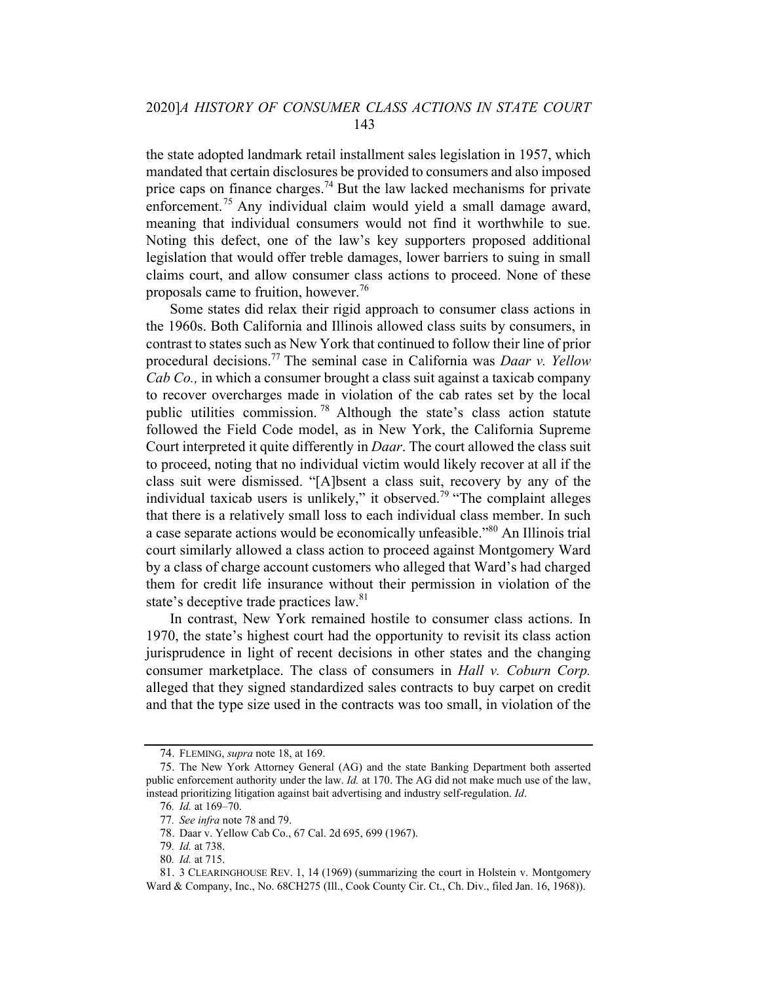the state adopted landmark retail installment sales legislation in 1957, which mandated that certain disclosures be provided to consumers and also imposed price caps on finance charges.<sup>74</sup> But the law lacked mechanisms for private enforcement.<sup>75</sup> Any individual claim would yield a small damage award, meaning that individual consumers would not find it worthwhile to sue. Noting this defect, one of the law's key supporters proposed additional legislation that would offer treble damages, lower barriers to suing in small claims court, and allow consumer class actions to proceed. None of these proposals came to fruition, however.<sup>76</sup>

Some states did relax their rigid approach to consumer class actions in the 1960s. Both California and Illinois allowed class suits by consumers, in contrast to states such as New York that continued to follow their line of prior procedural decisions.<sup>77</sup> The seminal case in California was *Daar v. Yellow* Cab Co., in which a consumer brought a class suit against a taxicab company to recover overcharges made in violation of the cab rates set by the local public utilities commission. <sup>78</sup> Although the state's class action statute followed the Field Code model, as in New York, the California Supreme Court interpreted it quite differently in Daar. The court allowed the class suit to proceed, noting that no individual victim would likely recover at all if the class suit were dismissed. "[A]bsent a class suit, recovery by any of the individual taxicab users is unlikely," it observed.<sup>79</sup> "The complaint alleges that there is a relatively small loss to each individual class member. In such a case separate actions would be economically unfeasible."80 An Illinois trial court similarly allowed a class action to proceed against Montgomery Ward by a class of charge account customers who alleged that Ward's had charged them for credit life insurance without their permission in violation of the state's deceptive trade practices law.<sup>81</sup>

In contrast, New York remained hostile to consumer class actions. In 1970, the state's highest court had the opportunity to revisit its class action jurisprudence in light of recent decisions in other states and the changing consumer marketplace. The class of consumers in Hall v. Coburn Corp. alleged that they signed standardized sales contracts to buy carpet on credit and that the type size used in the contracts was too small, in violation of the

<sup>74.</sup> FLEMING, supra note 18, at 169.

<sup>75.</sup> The New York Attorney General (AG) and the state Banking Department both asserted public enforcement authority under the law. Id. at 170. The AG did not make much use of the law, instead prioritizing litigation against bait advertising and industry self-regulation. Id.

<sup>76</sup>. Id. at 169–70.

<sup>77</sup>. See infra note 78 and 79.

<sup>78.</sup> Daar v. Yellow Cab Co., 67 Cal. 2d 695, 699 (1967).

<sup>79</sup>. Id. at 738.

<sup>80</sup>. Id. at 715.

<sup>81.</sup> 3 CLEARINGHOUSE REV. 1, 14 (1969) (summarizing the court in Holstein v. Montgomery Ward & Company, Inc., No. 68CH275 (Ill., Cook County Cir. Ct., Ch. Div., filed Jan. 16, 1968)).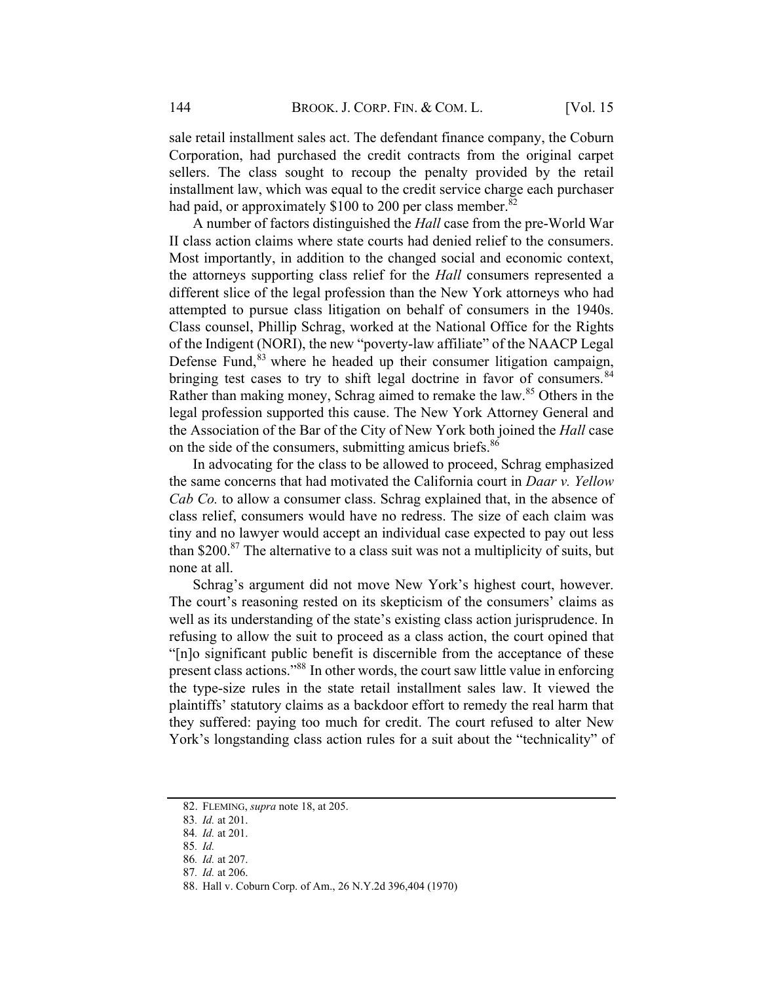sale retail installment sales act. The defendant finance company, the Coburn Corporation, had purchased the credit contracts from the original carpet sellers. The class sought to recoup the penalty provided by the retail installment law, which was equal to the credit service charge each purchaser had paid, or approximately \$100 to 200 per class member.<sup>82</sup>

A number of factors distinguished the *Hall* case from the pre-World War II class action claims where state courts had denied relief to the consumers. Most importantly, in addition to the changed social and economic context, the attorneys supporting class relief for the Hall consumers represented a different slice of the legal profession than the New York attorneys who had attempted to pursue class litigation on behalf of consumers in the 1940s. Class counsel, Phillip Schrag, worked at the National Office for the Rights of the Indigent (NORI), the new "poverty-law affiliate" of the NAACP Legal Defense Fund,<sup>83</sup> where he headed up their consumer litigation campaign, bringing test cases to try to shift legal doctrine in favor of consumers.<sup>84</sup> Rather than making money, Schrag aimed to remake the law.<sup>85</sup> Others in the legal profession supported this cause. The New York Attorney General and the Association of the Bar of the City of New York both joined the *Hall* case on the side of the consumers, submitting amicus briefs.<sup>86</sup>

In advocating for the class to be allowed to proceed, Schrag emphasized the same concerns that had motivated the California court in *Daar v. Yellow* Cab Co. to allow a consumer class. Schrag explained that, in the absence of class relief, consumers would have no redress. The size of each claim was tiny and no lawyer would accept an individual case expected to pay out less than \$200. $87$  The alternative to a class suit was not a multiplicity of suits, but none at all.

Schrag's argument did not move New York's highest court, however. The court's reasoning rested on its skepticism of the consumers' claims as well as its understanding of the state's existing class action jurisprudence. In refusing to allow the suit to proceed as a class action, the court opined that "[n]o significant public benefit is discernible from the acceptance of these present class actions."88 In other words, the court saw little value in enforcing the type-size rules in the state retail installment sales law. It viewed the plaintiffs' statutory claims as a backdoor effort to remedy the real harm that they suffered: paying too much for credit. The court refused to alter New York's longstanding class action rules for a suit about the "technicality" of

<sup>82.</sup> FLEMING, supra note 18, at 205.

<sup>83</sup>. Id. at 201.

<sup>84</sup>. Id. at 201.

<sup>85</sup>. Id.

<sup>86</sup>. Id. at 207.

<sup>87</sup>. Id. at 206.

<sup>88.</sup> Hall v. Coburn Corp. of Am., 26 N.Y.2d 396,404 (1970)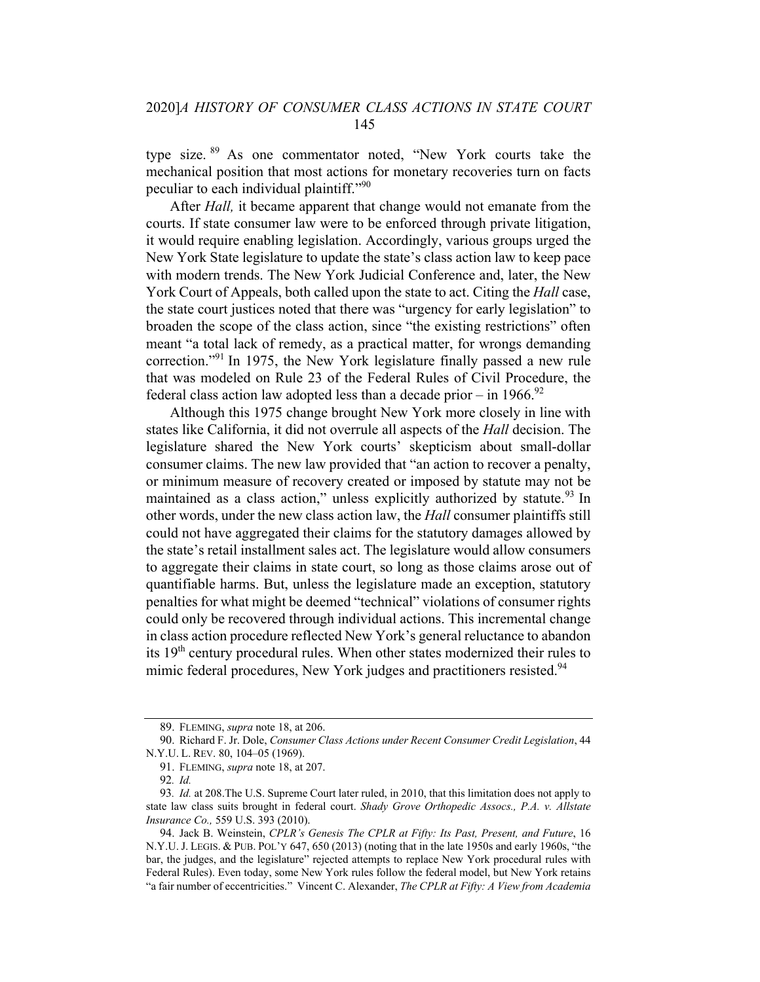type size. <sup>89</sup> As one commentator noted, "New York courts take the mechanical position that most actions for monetary recoveries turn on facts peculiar to each individual plaintiff."90

After *Hall*, it became apparent that change would not emanate from the courts. If state consumer law were to be enforced through private litigation, it would require enabling legislation. Accordingly, various groups urged the New York State legislature to update the state's class action law to keep pace with modern trends. The New York Judicial Conference and, later, the New York Court of Appeals, both called upon the state to act. Citing the *Hall* case, the state court justices noted that there was "urgency for early legislation" to broaden the scope of the class action, since "the existing restrictions" often meant "a total lack of remedy, as a practical matter, for wrongs demanding correction."<sup>91</sup> In 1975, the New York legislature finally passed a new rule that was modeled on Rule 23 of the Federal Rules of Civil Procedure, the federal class action law adopted less than a decade prior – in  $1966$ .<sup>92</sup>

Although this 1975 change brought New York more closely in line with states like California, it did not overrule all aspects of the Hall decision. The legislature shared the New York courts' skepticism about small-dollar consumer claims. The new law provided that "an action to recover a penalty, or minimum measure of recovery created or imposed by statute may not be maintained as a class action," unless explicitly authorized by statute.<sup>93</sup> In other words, under the new class action law, the Hall consumer plaintiffs still could not have aggregated their claims for the statutory damages allowed by the state's retail installment sales act. The legislature would allow consumers to aggregate their claims in state court, so long as those claims arose out of quantifiable harms. But, unless the legislature made an exception, statutory penalties for what might be deemed "technical" violations of consumer rights could only be recovered through individual actions. This incremental change in class action procedure reflected New York's general reluctance to abandon its  $19<sup>th</sup>$  century procedural rules. When other states modernized their rules to mimic federal procedures, New York judges and practitioners resisted.<sup>94</sup>

<sup>89.</sup> FLEMING, supra note 18, at 206.

<sup>90.</sup> Richard F. Jr. Dole, Consumer Class Actions under Recent Consumer Credit Legislation, 44 N.Y.U. L. REV. 80, 104–05 (1969).

<sup>91.</sup> FLEMING, supra note 18, at 207.

<sup>92</sup>. Id.

<sup>93</sup>. Id. at 208.The U.S. Supreme Court later ruled, in 2010, that this limitation does not apply to state law class suits brought in federal court. Shady Grove Orthopedic Assocs., P.A. v. Allstate Insurance Co., 559 U.S. 393 (2010).

<sup>94.</sup> Jack B. Weinstein, CPLR's Genesis The CPLR at Fifty: Its Past, Present, and Future, 16 N.Y.U. J. LEGIS. & PUB. POL'Y 647, 650 (2013) (noting that in the late 1950s and early 1960s, "the bar, the judges, and the legislature" rejected attempts to replace New York procedural rules with Federal Rules). Even today, some New York rules follow the federal model, but New York retains "a fair number of eccentricities." Vincent C. Alexander, The CPLR at Fifty: A View from Academia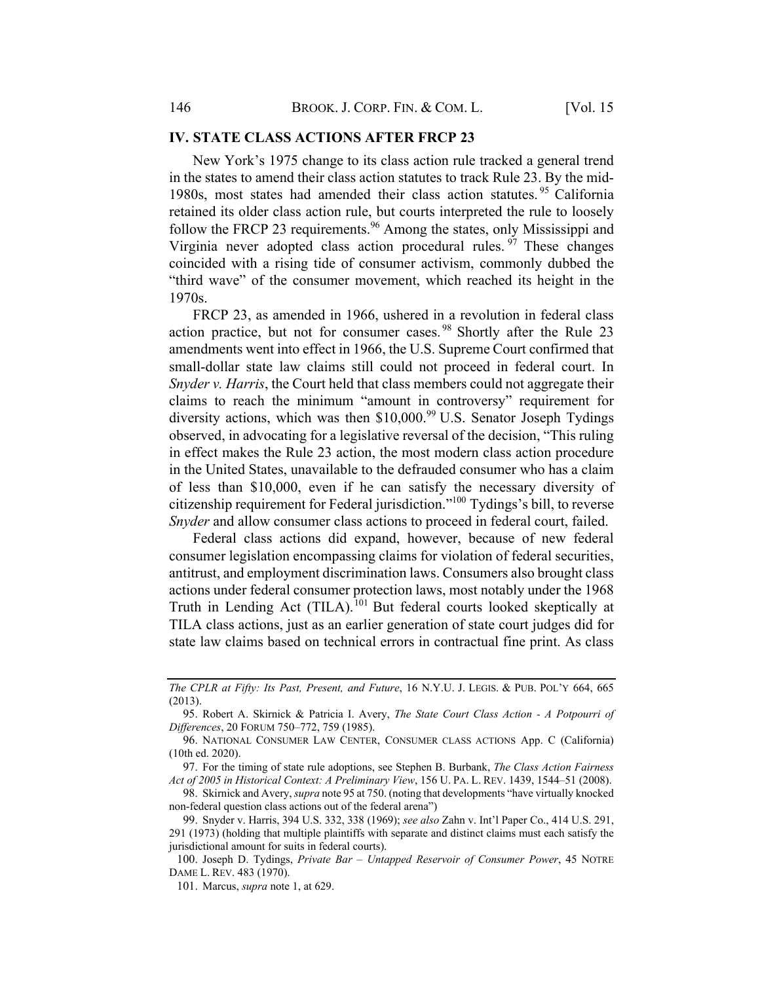#### IV. STATE CLASS ACTIONS AFTER FRCP 23

New York's 1975 change to its class action rule tracked a general trend in the states to amend their class action statutes to track Rule 23. By the mid-1980s, most states had amended their class action statutes. <sup>95</sup> California retained its older class action rule, but courts interpreted the rule to loosely follow the FRCP 23 requirements.<sup>96</sup> Among the states, only Mississippi and Virginia never adopted class action procedural rules.  $97$  These changes coincided with a rising tide of consumer activism, commonly dubbed the "third wave" of the consumer movement, which reached its height in the 1970s.

FRCP 23, as amended in 1966, ushered in a revolution in federal class action practice, but not for consumer cases.<sup>98</sup> Shortly after the Rule 23 amendments went into effect in 1966, the U.S. Supreme Court confirmed that small-dollar state law claims still could not proceed in federal court. In Snyder v. Harris, the Court held that class members could not aggregate their claims to reach the minimum "amount in controversy" requirement for diversity actions, which was then  $$10,000.^99$  U.S. Senator Joseph Tydings observed, in advocating for a legislative reversal of the decision, "This ruling in effect makes the Rule 23 action, the most modern class action procedure in the United States, unavailable to the defrauded consumer who has a claim of less than \$10,000, even if he can satisfy the necessary diversity of citizenship requirement for Federal jurisdiction."100 Tydings's bill, to reverse Snyder and allow consumer class actions to proceed in federal court, failed.

Federal class actions did expand, however, because of new federal consumer legislation encompassing claims for violation of federal securities, antitrust, and employment discrimination laws. Consumers also brought class actions under federal consumer protection laws, most notably under the 1968 Truth in Lending Act (TILA).<sup>101</sup> But federal courts looked skeptically at TILA class actions, just as an earlier generation of state court judges did for state law claims based on technical errors in contractual fine print. As class

The CPLR at Fifty: Its Past, Present, and Future, 16 N.Y.U. J. LEGIS. & PUB. POL'Y 664, 665 (2013).

<sup>95.</sup> Robert A. Skirnick & Patricia I. Avery, The State Court Class Action - A Potpourri of Differences, 20 FORUM 750–772, 759 (1985).

<sup>96.</sup> NATIONAL CONSUMER LAW CENTER, CONSUMER CLASS ACTIONS App. C (California) (10th ed. 2020).

<sup>97.</sup> For the timing of state rule adoptions, see Stephen B. Burbank, The Class Action Fairness Act of 2005 in Historical Context: A Preliminary View, 156 U. PA. L. REV. 1439, 1544–51 (2008).

<sup>98.</sup> Skirnick and Avery, *supra* note 95 at 750. (noting that developments "have virtually knocked non-federal question class actions out of the federal arena")

<sup>99.</sup> Snyder v. Harris, 394 U.S. 332, 338 (1969); see also Zahn v. Int'l Paper Co., 414 U.S. 291, 291 (1973) (holding that multiple plaintiffs with separate and distinct claims must each satisfy the jurisdictional amount for suits in federal courts).

<sup>100.</sup> Joseph D. Tydings, Private Bar – Untapped Reservoir of Consumer Power, 45 NOTRE DAME L. REV. 483 (1970).

<sup>101.</sup> Marcus, supra note 1, at 629.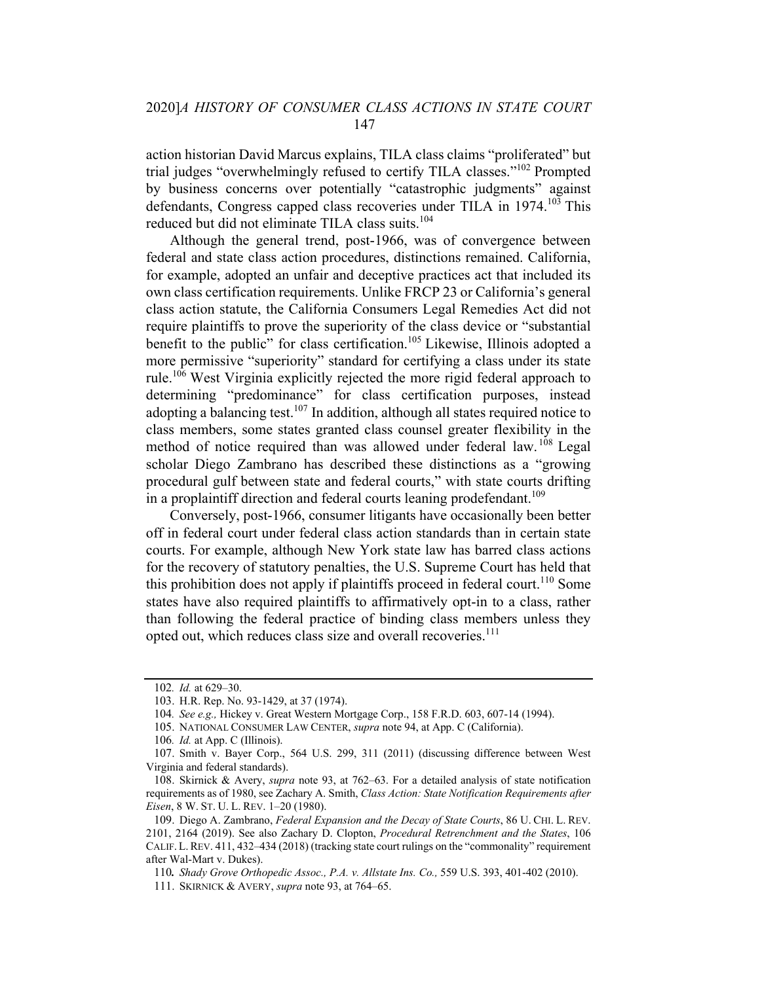action historian David Marcus explains, TILA class claims "proliferated" but trial judges "overwhelmingly refused to certify TILA classes."102 Prompted by business concerns over potentially "catastrophic judgments" against defendants, Congress capped class recoveries under TILA in 1974.<sup>103</sup> This reduced but did not eliminate TILA class suits.<sup>104</sup>

Although the general trend, post-1966, was of convergence between federal and state class action procedures, distinctions remained. California, for example, adopted an unfair and deceptive practices act that included its own class certification requirements. Unlike FRCP 23 or California's general class action statute, the California Consumers Legal Remedies Act did not require plaintiffs to prove the superiority of the class device or "substantial benefit to the public" for class certification.<sup>105</sup> Likewise, Illinois adopted a more permissive "superiority" standard for certifying a class under its state rule.<sup>106</sup> West Virginia explicitly rejected the more rigid federal approach to determining "predominance" for class certification purposes, instead adopting a balancing test.<sup>107</sup> In addition, although all states required notice to class members, some states granted class counsel greater flexibility in the method of notice required than was allowed under federal law. <sup>108</sup> Legal scholar Diego Zambrano has described these distinctions as a "growing procedural gulf between state and federal courts," with state courts drifting in a proplaintiff direction and federal courts leaning prodefendant.<sup>109</sup>

Conversely, post-1966, consumer litigants have occasionally been better off in federal court under federal class action standards than in certain state courts. For example, although New York state law has barred class actions for the recovery of statutory penalties, the U.S. Supreme Court has held that this prohibition does not apply if plaintiffs proceed in federal court.<sup>110</sup> Some states have also required plaintiffs to affirmatively opt-in to a class, rather than following the federal practice of binding class members unless they opted out, which reduces class size and overall recoveries.<sup>111</sup>

<sup>102</sup>. Id. at 629–30.

<sup>103.</sup> H.R. Rep. No. 93-1429, at 37 (1974).

<sup>104</sup>. See e.g., Hickey v. Great Western Mortgage Corp., 158 F.R.D. 603, 607-14 (1994).

<sup>105.</sup> NATIONAL CONSUMER LAW CENTER, supra note 94, at App. C (California).

<sup>106</sup>. Id. at App. C (Illinois).

<sup>107.</sup> Smith v. Bayer Corp., 564 U.S. 299, 311 (2011) (discussing difference between West Virginia and federal standards).

<sup>108.</sup> Skirnick & Avery, supra note 93, at 762–63. For a detailed analysis of state notification requirements as of 1980, see Zachary A. Smith, Class Action: State Notification Requirements after Eisen, 8 W. ST. U. L. REV. 1–20 (1980).

<sup>109.</sup> Diego A. Zambrano, Federal Expansion and the Decay of State Courts, 86 U. CHI. L. REV. 2101, 2164 (2019). See also Zachary D. Clopton, Procedural Retrenchment and the States, 106 CALIF. L.REV. 411, 432–434 (2018) (tracking state court rulings on the "commonality" requirement after Wal-Mart v. Dukes).

<sup>110</sup>. Shady Grove Orthopedic Assoc., P.A. v. Allstate Ins. Co., 559 U.S. 393, 401-402 (2010).

<sup>111.</sup> SKIRNICK & AVERY, *supra* note 93, at 764–65.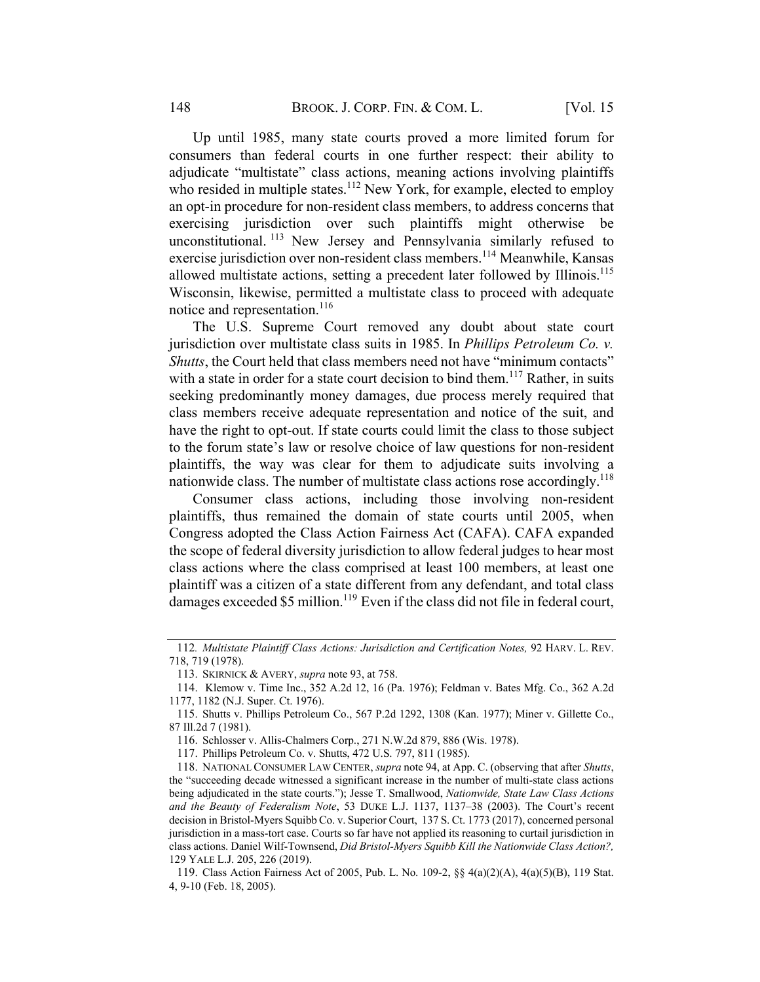Up until 1985, many state courts proved a more limited forum for consumers than federal courts in one further respect: their ability to adjudicate "multistate" class actions, meaning actions involving plaintiffs who resided in multiple states.<sup>112</sup> New York, for example, elected to employ an opt-in procedure for non-resident class members, to address concerns that exercising jurisdiction over such plaintiffs might otherwise be unconstitutional. <sup>113</sup> New Jersey and Pennsylvania similarly refused to exercise jurisdiction over non-resident class members.<sup>114</sup> Meanwhile, Kansas allowed multistate actions, setting a precedent later followed by Illinois.<sup>115</sup> Wisconsin, likewise, permitted a multistate class to proceed with adequate notice and representation.<sup>116</sup>

The U.S. Supreme Court removed any doubt about state court jurisdiction over multistate class suits in 1985. In Phillips Petroleum Co. v. Shutts, the Court held that class members need not have "minimum contacts" with a state in order for a state court decision to bind them.<sup>117</sup> Rather, in suits seeking predominantly money damages, due process merely required that class members receive adequate representation and notice of the suit, and have the right to opt-out. If state courts could limit the class to those subject to the forum state's law or resolve choice of law questions for non-resident plaintiffs, the way was clear for them to adjudicate suits involving a nationwide class. The number of multistate class actions rose accordingly.<sup>118</sup>

Consumer class actions, including those involving non-resident plaintiffs, thus remained the domain of state courts until 2005, when Congress adopted the Class Action Fairness Act (CAFA). CAFA expanded the scope of federal diversity jurisdiction to allow federal judges to hear most class actions where the class comprised at least 100 members, at least one plaintiff was a citizen of a state different from any defendant, and total class damages exceeded \$5 million.<sup>119</sup> Even if the class did not file in federal court,

<sup>112</sup>. Multistate Plaintiff Class Actions: Jurisdiction and Certification Notes, 92 HARV. L. REV. 718, 719 (1978).

<sup>113.</sup> SKIRNICK & AVERY, supra note 93, at 758.

<sup>114.</sup> Klemow v. Time Inc., 352 A.2d 12, 16 (Pa. 1976); Feldman v. Bates Mfg. Co., 362 A.2d 1177, 1182 (N.J. Super. Ct. 1976).

<sup>115.</sup> Shutts v. Phillips Petroleum Co., 567 P.2d 1292, 1308 (Kan. 1977); Miner v. Gillette Co., 87 Ill.2d 7 (1981).

<sup>116.</sup> Schlosser v. Allis-Chalmers Corp., 271 N.W.2d 879, 886 (Wis. 1978).

<sup>117.</sup> Phillips Petroleum Co. v. Shutts, 472 U.S. 797, 811 (1985).

<sup>118.</sup> NATIONAL CONSUMER LAW CENTER, supra note 94, at App. C. (observing that after Shutts, the "succeeding decade witnessed a significant increase in the number of multi-state class actions being adjudicated in the state courts."); Jesse T. Smallwood, Nationwide, State Law Class Actions and the Beauty of Federalism Note, 53 DUKE L.J. 1137, 1137–38 (2003). The Court's recent decision in Bristol-Myers Squibb Co. v. Superior Court, 137 S. Ct. 1773 (2017), concerned personal jurisdiction in a mass-tort case. Courts so far have not applied its reasoning to curtail jurisdiction in class actions. Daniel Wilf-Townsend, Did Bristol-Myers Squibb Kill the Nationwide Class Action?, 129 YALE L.J. 205, 226 (2019).

<sup>119.</sup> Class Action Fairness Act of 2005, Pub. L. No. 109-2, §§ 4(a)(2)(A), 4(a)(5)(B), 119 Stat. 4, 9-10 (Feb. 18, 2005).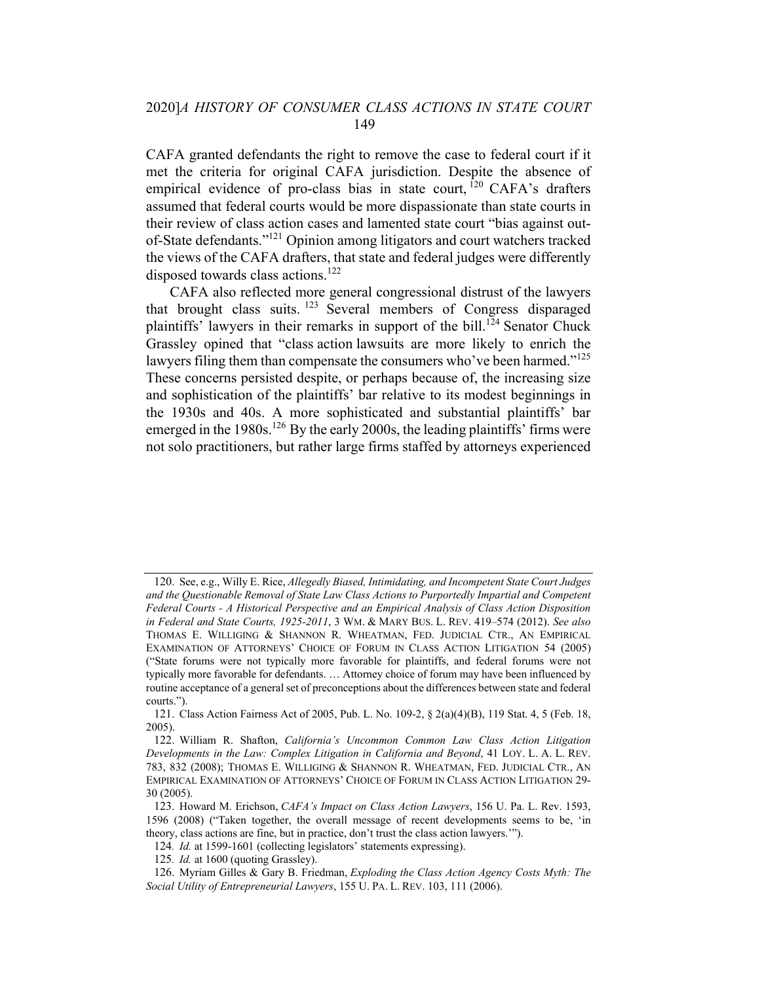CAFA granted defendants the right to remove the case to federal court if it met the criteria for original CAFA jurisdiction. Despite the absence of empirical evidence of pro-class bias in state court, <sup>120</sup> CAFA's drafters assumed that federal courts would be more dispassionate than state courts in their review of class action cases and lamented state court "bias against outof-State defendants."121 Opinion among litigators and court watchers tracked the views of the CAFA drafters, that state and federal judges were differently disposed towards class actions.<sup>122</sup>

CAFA also reflected more general congressional distrust of the lawyers that brought class suits. <sup>123</sup> Several members of Congress disparaged plaintiffs' lawyers in their remarks in support of the bill.<sup>124</sup> Senator Chuck Grassley opined that "class action lawsuits are more likely to enrich the lawyers filing them than compensate the consumers who've been harmed."<sup>125</sup> These concerns persisted despite, or perhaps because of, the increasing size and sophistication of the plaintiffs' bar relative to its modest beginnings in the 1930s and 40s. A more sophisticated and substantial plaintiffs' bar emerged in the 1980s.<sup>126</sup> By the early 2000s, the leading plaintiffs' firms were not solo practitioners, but rather large firms staffed by attorneys experienced

<sup>120.</sup> See, e.g., Willy E. Rice, Allegedly Biased, Intimidating, and Incompetent State Court Judges and the Questionable Removal of State Law Class Actions to Purportedly Impartial and Competent Federal Courts - A Historical Perspective and an Empirical Analysis of Class Action Disposition in Federal and State Courts, 1925-2011, 3 WM. & MARY BUS. L. REV. 419–574 (2012). See also THOMAS E. WILLIGING & SHANNON R. WHEATMAN, FED. JUDICIAL CTR., AN EMPIRICAL EXAMINATION OF ATTORNEYS' CHOICE OF FORUM IN CLASS ACTION LITIGATION 54 (2005) ("State forums were not typically more favorable for plaintiffs, and federal forums were not typically more favorable for defendants. … Attorney choice of forum may have been influenced by routine acceptance of a general set of preconceptions about the differences between state and federal courts.").

<sup>121.</sup> Class Action Fairness Act of 2005, Pub. L. No. 109-2, § 2(a)(4)(B), 119 Stat. 4, 5 (Feb. 18, 2005).

<sup>122.</sup> William R. Shafton, California's Uncommon Common Law Class Action Litigation Developments in the Law: Complex Litigation in California and Beyond, 41 LOY. L. A. L. REV. 783, 832 (2008); THOMAS E. WILLIGING & SHANNON R. WHEATMAN, FED. JUDICIAL CTR., AN EMPIRICAL EXAMINATION OF ATTORNEYS' CHOICE OF FORUM IN CLASS ACTION LITIGATION 29- 30 (2005).

<sup>123.</sup> Howard M. Erichson, CAFA's Impact on Class Action Lawyers, 156 U. Pa. L. Rev. 1593, 1596 (2008) ("Taken together, the overall message of recent developments seems to be, 'in theory, class actions are fine, but in practice, don't trust the class action lawyers.'").

<sup>124.</sup> Id. at 1599-1601 (collecting legislators' statements expressing).

<sup>125.</sup> Id. at 1600 (quoting Grassley).

<sup>126.</sup> Myriam Gilles & Gary B. Friedman, Exploding the Class Action Agency Costs Myth: The Social Utility of Entrepreneurial Lawyers, 155 U. PA. L. REV. 103, 111 (2006).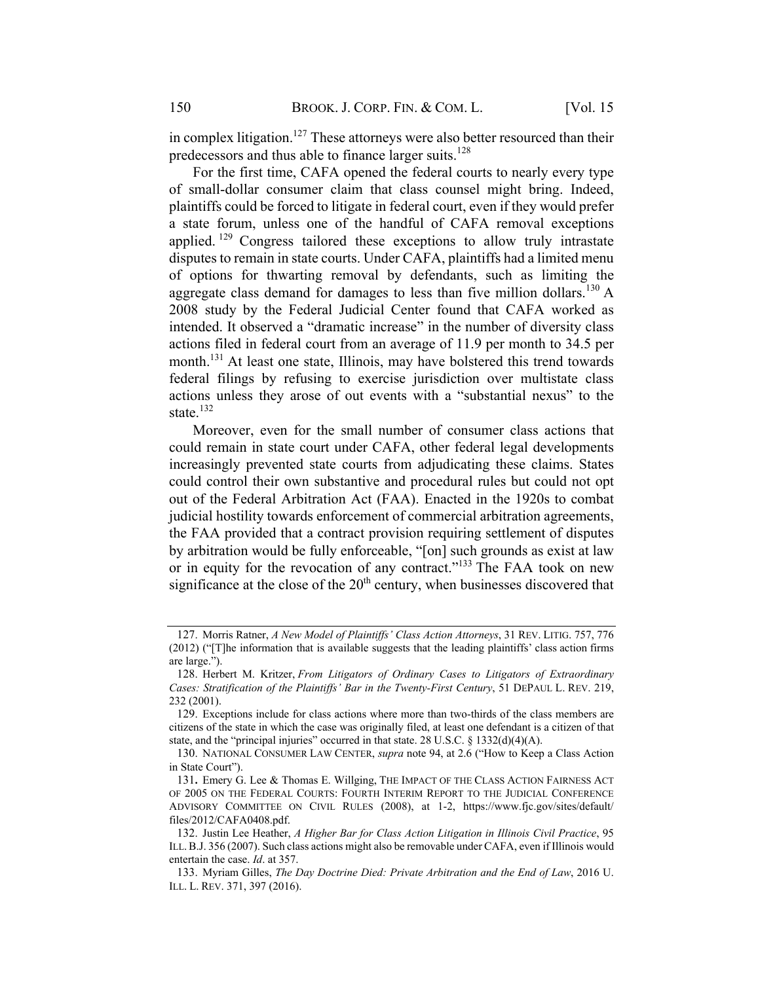in complex litigation.<sup>127</sup> These attorneys were also better resourced than their predecessors and thus able to finance larger suits.<sup>128</sup>

For the first time, CAFA opened the federal courts to nearly every type of small-dollar consumer claim that class counsel might bring. Indeed, plaintiffs could be forced to litigate in federal court, even if they would prefer a state forum, unless one of the handful of CAFA removal exceptions applied.  $129$  Congress tailored these exceptions to allow truly intrastate disputes to remain in state courts. Under CAFA, plaintiffs had a limited menu of options for thwarting removal by defendants, such as limiting the aggregate class demand for damages to less than five million dollars.<sup>130</sup> A 2008 study by the Federal Judicial Center found that CAFA worked as intended. It observed a "dramatic increase" in the number of diversity class actions filed in federal court from an average of 11.9 per month to 34.5 per month.<sup>131</sup> At least one state, Illinois, may have bolstered this trend towards federal filings by refusing to exercise jurisdiction over multistate class actions unless they arose of out events with a "substantial nexus" to the state. 132

Moreover, even for the small number of consumer class actions that could remain in state court under CAFA, other federal legal developments increasingly prevented state courts from adjudicating these claims. States could control their own substantive and procedural rules but could not opt out of the Federal Arbitration Act (FAA). Enacted in the 1920s to combat judicial hostility towards enforcement of commercial arbitration agreements, the FAA provided that a contract provision requiring settlement of disputes by arbitration would be fully enforceable, "[on] such grounds as exist at law or in equity for the revocation of any contract."133 The FAA took on new significance at the close of the  $20<sup>th</sup>$  century, when businesses discovered that

<sup>127.</sup> Morris Ratner, A New Model of Plaintiffs' Class Action Attorneys, 31 REV. LITIG. 757, 776 (2012) ("[T]he information that is available suggests that the leading plaintiffs' class action firms are large.").

<sup>128.</sup> Herbert M. Kritzer, From Litigators of Ordinary Cases to Litigators of Extraordinary Cases: Stratification of the Plaintiffs' Bar in the Twenty-First Century, 51 DEPAUL L. REV. 219, 232 (2001).

<sup>129.</sup> Exceptions include for class actions where more than two-thirds of the class members are citizens of the state in which the case was originally filed, at least one defendant is a citizen of that state, and the "principal injuries" occurred in that state. 28 U.S.C. § 1332(d)(4)(A).

<sup>130.</sup> NATIONAL CONSUMER LAW CENTER, supra note 94, at 2.6 ("How to Keep a Class Action in State Court").

<sup>131.</sup> Emery G. Lee & Thomas E. Willging, THE IMPACT OF THE CLASS ACTION FAIRNESS ACT OF 2005 ON THE FEDERAL COURTS: FOURTH INTERIM REPORT TO THE JUDICIAL CONFERENCE ADVISORY COMMITTEE ON CIVIL RULES (2008), at 1-2, https://www.fjc.gov/sites/default/ files/2012/CAFA0408.pdf.

<sup>132.</sup> Justin Lee Heather, A Higher Bar for Class Action Litigation in Illinois Civil Practice, 95 ILL.B.J. 356 (2007). Such class actions might also be removable under CAFA, even if Illinois would entertain the case. Id. at 357.

<sup>133.</sup> Myriam Gilles, The Day Doctrine Died: Private Arbitration and the End of Law, 2016 U. ILL. L. REV. 371, 397 (2016).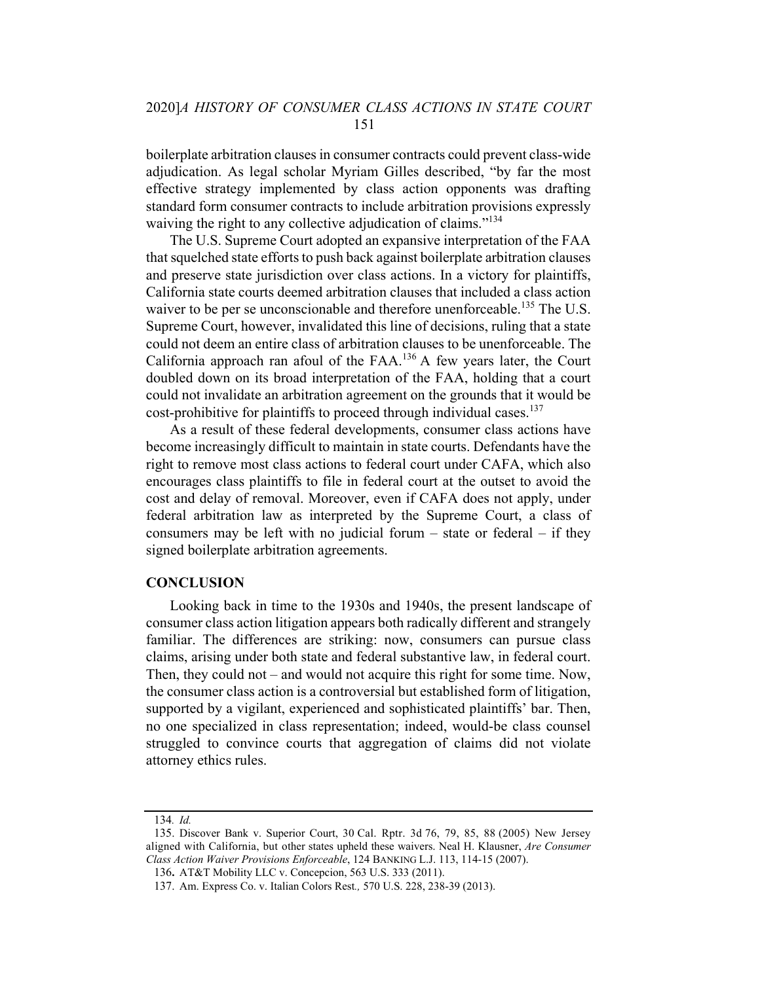boilerplate arbitration clausesin consumer contracts could prevent class-wide adjudication. As legal scholar Myriam Gilles described, "by far the most effective strategy implemented by class action opponents was drafting standard form consumer contracts to include arbitration provisions expressly waiving the right to any collective adjudication of claims."<sup>134</sup>

The U.S. Supreme Court adopted an expansive interpretation of the FAA that squelched state efforts to push back against boilerplate arbitration clauses and preserve state jurisdiction over class actions. In a victory for plaintiffs, California state courts deemed arbitration clauses that included a class action waiver to be per se unconscionable and therefore unenforceable.<sup>135</sup> The U.S. Supreme Court, however, invalidated this line of decisions, ruling that a state could not deem an entire class of arbitration clauses to be unenforceable. The California approach ran afoul of the FAA.<sup>136</sup> A few years later, the Court doubled down on its broad interpretation of the FAA, holding that a court could not invalidate an arbitration agreement on the grounds that it would be cost-prohibitive for plaintiffs to proceed through individual cases.<sup>137</sup>

As a result of these federal developments, consumer class actions have become increasingly difficult to maintain in state courts. Defendants have the right to remove most class actions to federal court under CAFA, which also encourages class plaintiffs to file in federal court at the outset to avoid the cost and delay of removal. Moreover, even if CAFA does not apply, under federal arbitration law as interpreted by the Supreme Court, a class of consumers may be left with no judicial forum  $-$  state or federal  $-$  if they signed boilerplate arbitration agreements.

#### **CONCLUSION**

Looking back in time to the 1930s and 1940s, the present landscape of consumer class action litigation appears both radically different and strangely familiar. The differences are striking: now, consumers can pursue class claims, arising under both state and federal substantive law, in federal court. Then, they could not – and would not acquire this right for some time. Now, the consumer class action is a controversial but established form of litigation, supported by a vigilant, experienced and sophisticated plaintiffs' bar. Then, no one specialized in class representation; indeed, would-be class counsel struggled to convince courts that aggregation of claims did not violate attorney ethics rules.

<sup>134</sup>. Id.

<sup>135.</sup> Discover Bank v. Superior Court, 30 Cal. Rptr. 3d 76, 79, 85, 88 (2005) New Jersey aligned with California, but other states upheld these waivers. Neal H. Klausner, Are Consumer Class Action Waiver Provisions Enforceable, 124 BANKING L.J. 113, 114-15 (2007).

<sup>136</sup> AT&T Mobility LLC v. Concepcion, 563 U.S. 333 (2011).

<sup>137.</sup> Am. Express Co. v. Italian Colors Rest., 570 U.S. 228, 238-39 (2013).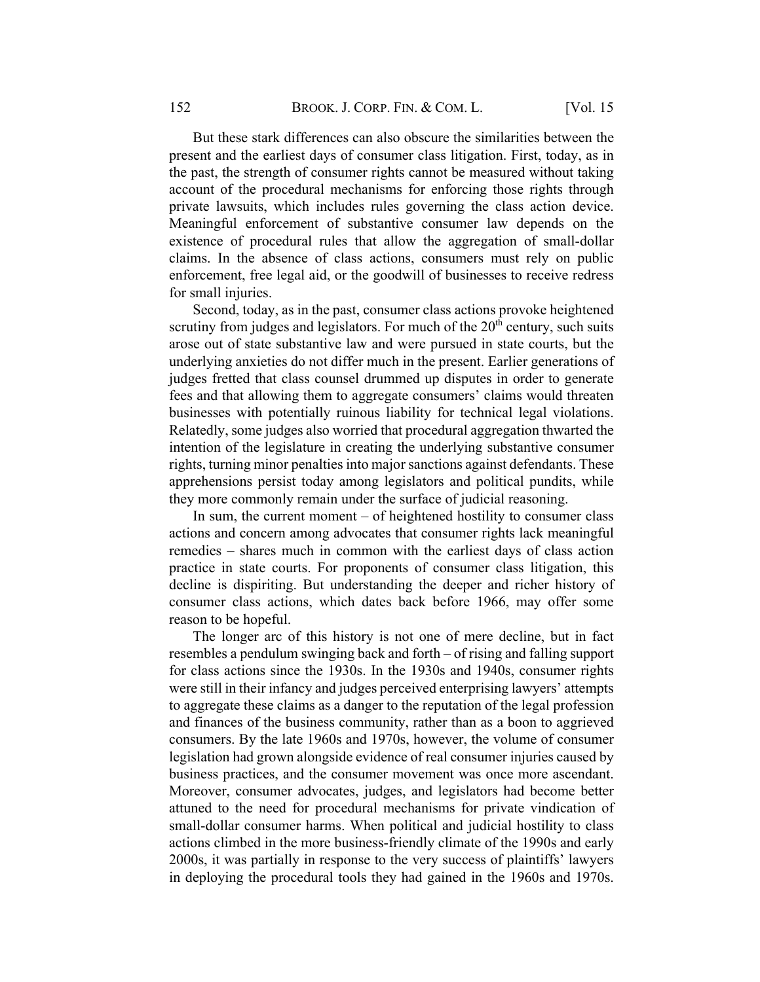But these stark differences can also obscure the similarities between the present and the earliest days of consumer class litigation. First, today, as in the past, the strength of consumer rights cannot be measured without taking account of the procedural mechanisms for enforcing those rights through private lawsuits, which includes rules governing the class action device. Meaningful enforcement of substantive consumer law depends on the existence of procedural rules that allow the aggregation of small-dollar claims. In the absence of class actions, consumers must rely on public enforcement, free legal aid, or the goodwill of businesses to receive redress for small injuries.

Second, today, as in the past, consumer class actions provoke heightened scrutiny from judges and legislators. For much of the  $20<sup>th</sup>$  century, such suits arose out of state substantive law and were pursued in state courts, but the underlying anxieties do not differ much in the present. Earlier generations of judges fretted that class counsel drummed up disputes in order to generate fees and that allowing them to aggregate consumers' claims would threaten businesses with potentially ruinous liability for technical legal violations. Relatedly, some judges also worried that procedural aggregation thwarted the intention of the legislature in creating the underlying substantive consumer rights, turning minor penalties into major sanctions against defendants. These apprehensions persist today among legislators and political pundits, while they more commonly remain under the surface of judicial reasoning.

In sum, the current moment  $-$  of heightened hostility to consumer class actions and concern among advocates that consumer rights lack meaningful remedies – shares much in common with the earliest days of class action practice in state courts. For proponents of consumer class litigation, this decline is dispiriting. But understanding the deeper and richer history of consumer class actions, which dates back before 1966, may offer some reason to be hopeful.

The longer arc of this history is not one of mere decline, but in fact resembles a pendulum swinging back and forth – of rising and falling support for class actions since the 1930s. In the 1930s and 1940s, consumer rights were still in their infancy and judges perceived enterprising lawyers' attempts to aggregate these claims as a danger to the reputation of the legal profession and finances of the business community, rather than as a boon to aggrieved consumers. By the late 1960s and 1970s, however, the volume of consumer legislation had grown alongside evidence of real consumer injuries caused by business practices, and the consumer movement was once more ascendant. Moreover, consumer advocates, judges, and legislators had become better attuned to the need for procedural mechanisms for private vindication of small-dollar consumer harms. When political and judicial hostility to class actions climbed in the more business-friendly climate of the 1990s and early 2000s, it was partially in response to the very success of plaintiffs' lawyers in deploying the procedural tools they had gained in the 1960s and 1970s.